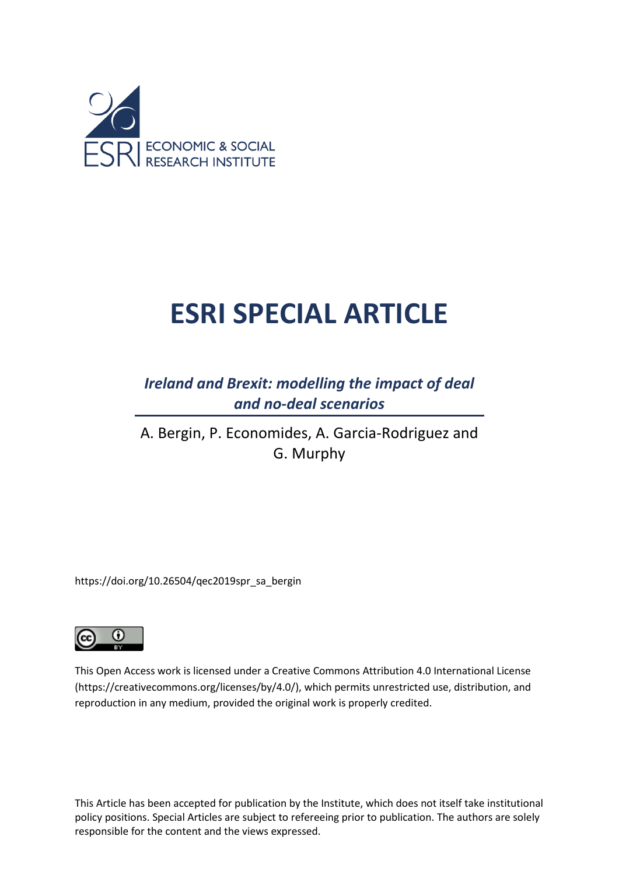

# **ESRI SPECIAL ARTICLE**

*Ireland and Brexit: modelling the impact of deal and no-deal scenarios*

A. Bergin, P. Economides, A. Garcia-Rodriguez and G. Murphy

https://doi.org/10.26504/qec2019spr\_sa\_bergin



This Open Access work is licensed under a Creative Commons Attribution 4.0 International License (https://creativecommons.org/licenses/by/4.0/), which permits unrestricted use, distribution, and reproduction in any medium, provided the original work is properly credited.

This Article has been accepted for publication by the Institute, which does not itself take institutional policy positions. Special Articles are subject to refereeing prior to publication. The authors are solely responsible for the content and the views expressed.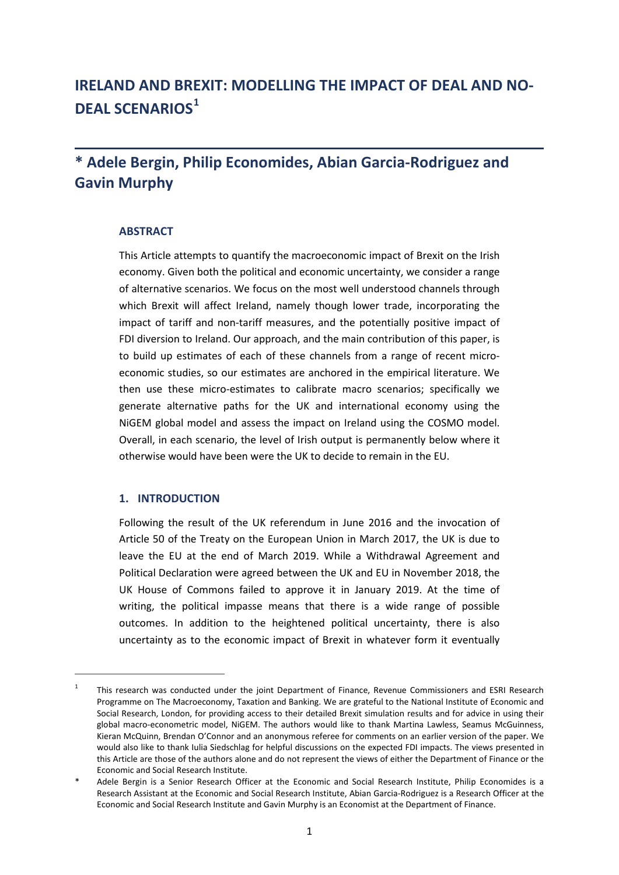# **IRELAND AND BREXIT: MODELLING THE IMPACT OF DEAL AND NO-DEAL SCENARIOS[1](#page-2-0)**

## **\* Adele Bergin, Philip Economides, Abian Garcia-Rodriguez and Gavin Murphy**

## **ABSTRACT**

This Article attempts to quantify the macroeconomic impact of Brexit on the Irish economy. Given both the political and economic uncertainty, we consider a range of alternative scenarios. We focus on the most well understood channels through which Brexit will affect Ireland, namely though lower trade, incorporating the impact of tariff and non-tariff measures, and the potentially positive impact of FDI diversion to Ireland. Our approach, and the main contribution of this paper, is to build up estimates of each of these channels from a range of recent microeconomic studies, so our estimates are anchored in the empirical literature. We then use these micro-estimates to calibrate macro scenarios; specifically we generate alternative paths for the UK and international economy using the NiGEM global model and assess the impact on Ireland using the COSMO model. Overall, in each scenario, the level of Irish output is permanently below where it otherwise would have been were the UK to decide to remain in the EU.

#### **1. INTRODUCTION**

 $\overline{a}$ 

Following the result of the UK referendum in June 2016 and the invocation of Article 50 of the Treaty on the European Union in March 2017, the UK is due to leave the EU at the end of March 2019. While a Withdrawal Agreement and Political Declaration were agreed between the UK and EU in November 2018, the UK House of Commons failed to approve it in January 2019. At the time of writing, the political impasse means that there is a wide range of possible outcomes. In addition to the heightened political uncertainty, there is also uncertainty as to the economic impact of Brexit in whatever form it eventually

<span id="page-2-0"></span><sup>&</sup>lt;sup>1</sup> This research was conducted under the joint Department of Finance, Revenue Commissioners and ESRI Research Programme on The Macroeconomy, Taxation and Banking. We are grateful to the National Institute of Economic and Social Research, London, for providing access to their detailed Brexit simulation results and for advice in using their global macro-econometric model, NiGEM. The authors would like to thank Martina Lawless, Seamus McGuinness, Kieran McQuinn, Brendan O'Connor and an anonymous referee for comments on an earlier version of the paper. We would also like to thank Iulia Siedschlag for helpful discussions on the expected FDI impacts. The views presented in this Article are those of the authors alone and do not represent the views of either the Department of Finance or the Economic and Social Research Institute.

Adele Bergin is a Senior Research Officer at the Economic and Social Research Institute, Philip Economides is a Research Assistant at the Economic and Social Research Institute, Abian Garcia-Rodriguez is a Research Officer at the Economic and Social Research Institute and Gavin Murphy is an Economist at the Department of Finance.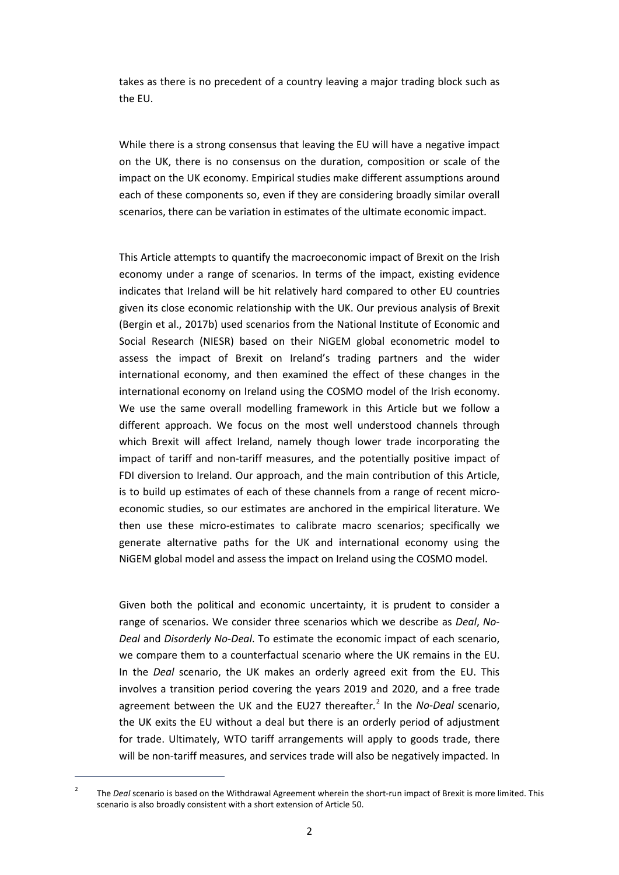takes as there is no precedent of a country leaving a major trading block such as the EU.

While there is a strong consensus that leaving the EU will have a negative impact on the UK, there is no consensus on the duration, composition or scale of the impact on the UK economy. Empirical studies make different assumptions around each of these components so, even if they are considering broadly similar overall scenarios, there can be variation in estimates of the ultimate economic impact.

This Article attempts to quantify the macroeconomic impact of Brexit on the Irish economy under a range of scenarios. In terms of the impact, existing evidence indicates that Ireland will be hit relatively hard compared to other EU countries given its close economic relationship with the UK. Our previous analysis of Brexit (Bergin et al., 2017b) used scenarios from the National Institute of Economic and Social Research (NIESR) based on their NiGEM global econometric model to assess the impact of Brexit on Ireland's trading partners and the wider international economy, and then examined the effect of these changes in the international economy on Ireland using the COSMO model of the Irish economy. We use the same overall modelling framework in this Article but we follow a different approach. We focus on the most well understood channels through which Brexit will affect Ireland, namely though lower trade incorporating the impact of tariff and non-tariff measures, and the potentially positive impact of FDI diversion to Ireland. Our approach, and the main contribution of this Article, is to build up estimates of each of these channels from a range of recent microeconomic studies, so our estimates are anchored in the empirical literature. We then use these micro-estimates to calibrate macro scenarios; specifically we generate alternative paths for the UK and international economy using the NiGEM global model and assess the impact on Ireland using the COSMO model.

Given both the political and economic uncertainty, it is prudent to consider a range of scenarios. We consider three scenarios which we describe as *Deal*, *No-Deal* and *Disorderly No-Deal*. To estimate the economic impact of each scenario, we compare them to a counterfactual scenario where the UK remains in the EU. In the *Deal* scenario, the UK makes an orderly agreed exit from the EU. This involves a transition period covering the years 2019 and 2020, and a free trade agreement between the UK and the EU[2](#page-3-0)7 thereafter.<sup>2</sup> In the *No-Deal* scenario, the UK exits the EU without a deal but there is an orderly period of adjustment for trade. Ultimately, WTO tariff arrangements will apply to goods trade, there will be non-tariff measures, and services trade will also be negatively impacted. In

1

<span id="page-3-0"></span><sup>&</sup>lt;sup>2</sup> The *Deal* scenario is based on the Withdrawal Agreement wherein the short-run impact of Brexit is more limited. This scenario is also broadly consistent with a short extension of Article 50.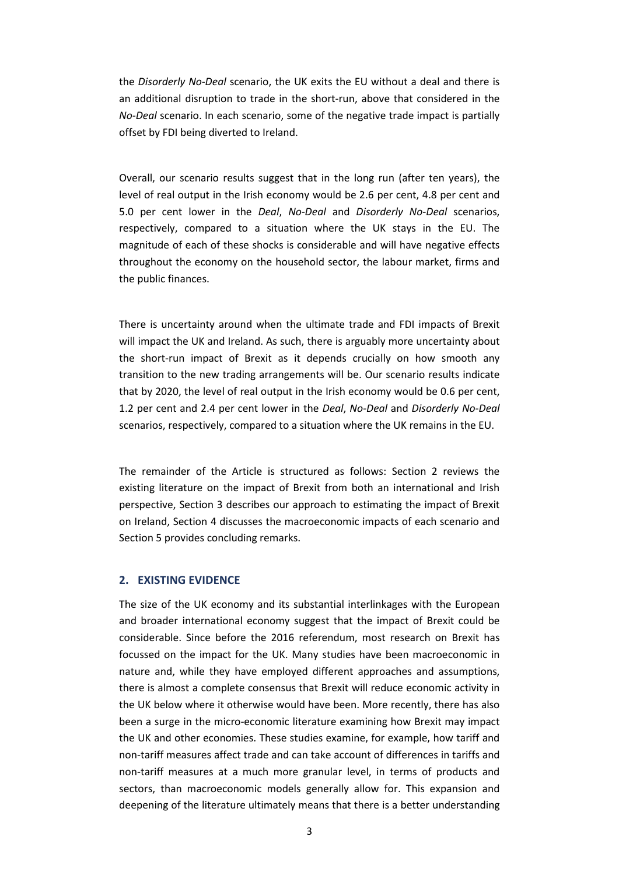the *Disorderly No-Deal* scenario, the UK exits the EU without a deal and there is an additional disruption to trade in the short-run, above that considered in the *No-Deal* scenario. In each scenario, some of the negative trade impact is partially offset by FDI being diverted to Ireland.

Overall, our scenario results suggest that in the long run (after ten years), the level of real output in the Irish economy would be 2.6 per cent, 4.8 per cent and 5.0 per cent lower in the *Deal*, *No-Deal* and *Disorderly No-Deal* scenarios, respectively, compared to a situation where the UK stays in the EU. The magnitude of each of these shocks is considerable and will have negative effects throughout the economy on the household sector, the labour market, firms and the public finances.

There is uncertainty around when the ultimate trade and FDI impacts of Brexit will impact the UK and Ireland. As such, there is arguably more uncertainty about the short-run impact of Brexit as it depends crucially on how smooth any transition to the new trading arrangements will be. Our scenario results indicate that by 2020, the level of real output in the Irish economy would be 0.6 per cent, 1.2 per cent and 2.4 per cent lower in the *Deal*, *No-Deal* and *Disorderly No-Deal* scenarios, respectively, compared to a situation where the UK remains in the EU.

The remainder of the Article is structured as follows: Section 2 reviews the existing literature on the impact of Brexit from both an international and Irish perspective, Section 3 describes our approach to estimating the impact of Brexit on Ireland, Section 4 discusses the macroeconomic impacts of each scenario and Section 5 provides concluding remarks.

#### **2. EXISTING EVIDENCE**

The size of the UK economy and its substantial interlinkages with the European and broader international economy suggest that the impact of Brexit could be considerable. Since before the 2016 referendum, most research on Brexit has focussed on the impact for the UK. Many studies have been macroeconomic in nature and, while they have employed different approaches and assumptions, there is almost a complete consensus that Brexit will reduce economic activity in the UK below where it otherwise would have been. More recently, there has also been a surge in the micro-economic literature examining how Brexit may impact the UK and other economies. These studies examine, for example, how tariff and non-tariff measures affect trade and can take account of differences in tariffs and non-tariff measures at a much more granular level, in terms of products and sectors, than macroeconomic models generally allow for. This expansion and deepening of the literature ultimately means that there is a better understanding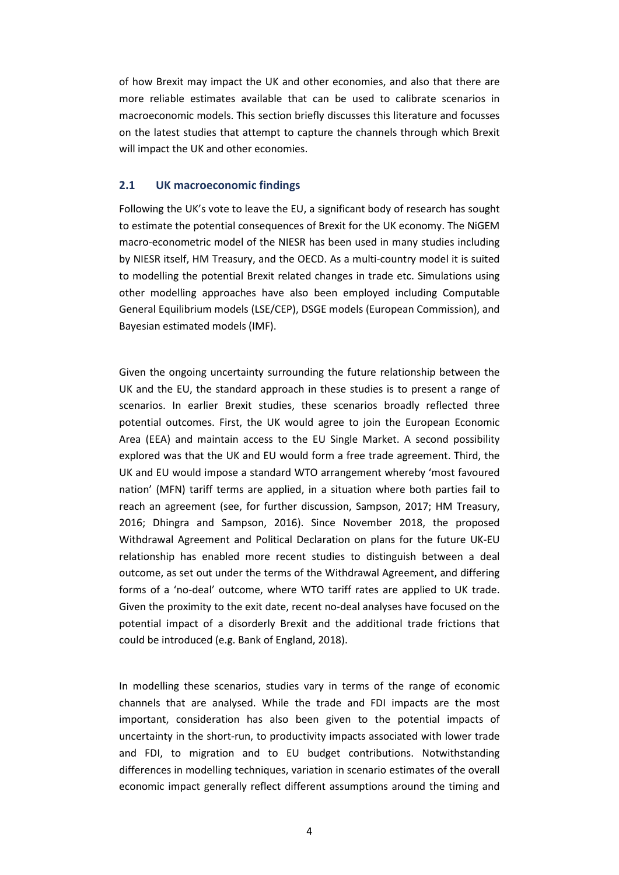of how Brexit may impact the UK and other economies, and also that there are more reliable estimates available that can be used to calibrate scenarios in macroeconomic models. This section briefly discusses this literature and focusses on the latest studies that attempt to capture the channels through which Brexit will impact the UK and other economies.

## **2.1 UK macroeconomic findings**

Following the UK's vote to leave the EU, a significant body of research has sought to estimate the potential consequences of Brexit for the UK economy. The NiGEM macro-econometric model of the NIESR has been used in many studies including by NIESR itself, HM Treasury, and the OECD. As a multi-country model it is suited to modelling the potential Brexit related changes in trade etc. Simulations using other modelling approaches have also been employed including Computable General Equilibrium models (LSE/CEP), DSGE models (European Commission), and Bayesian estimated models (IMF).

Given the ongoing uncertainty surrounding the future relationship between the UK and the EU, the standard approach in these studies is to present a range of scenarios. In earlier Brexit studies, these scenarios broadly reflected three potential outcomes. First, the UK would agree to join the European Economic Area (EEA) and maintain access to the EU Single Market. A second possibility explored was that the UK and EU would form a free trade agreement. Third, the UK and EU would impose a standard WTO arrangement whereby 'most favoured nation' (MFN) tariff terms are applied, in a situation where both parties fail to reach an agreement (see, for further discussion, Sampson, 2017; HM Treasury, 2016; Dhingra and Sampson, 2016). Since November 2018, the proposed Withdrawal Agreement and Political Declaration on plans for the future UK-EU relationship has enabled more recent studies to distinguish between a deal outcome, as set out under the terms of the Withdrawal Agreement, and differing forms of a 'no-deal' outcome, where WTO tariff rates are applied to UK trade. Given the proximity to the exit date, recent no-deal analyses have focused on the potential impact of a disorderly Brexit and the additional trade frictions that could be introduced (e.g. Bank of England, 2018).

In modelling these scenarios, studies vary in terms of the range of economic channels that are analysed. While the trade and FDI impacts are the most important, consideration has also been given to the potential impacts of uncertainty in the short-run, to productivity impacts associated with lower trade and FDI, to migration and to EU budget contributions. Notwithstanding differences in modelling techniques, variation in scenario estimates of the overall economic impact generally reflect different assumptions around the timing and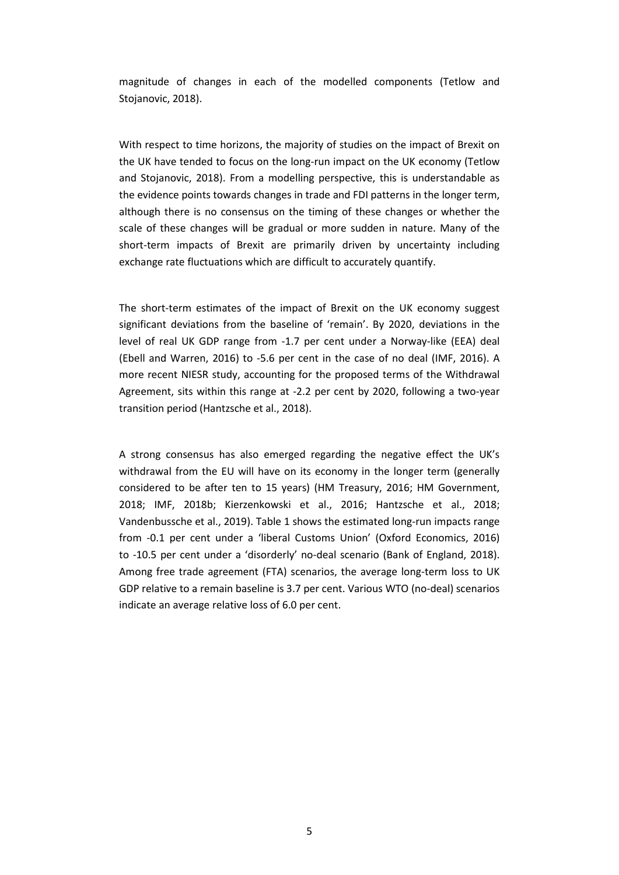magnitude of changes in each of the modelled components (Tetlow and Stojanovic, 2018).

With respect to time horizons, the majority of studies on the impact of Brexit on the UK have tended to focus on the long-run impact on the UK economy (Tetlow and Stojanovic, 2018). From a modelling perspective, this is understandable as the evidence points towards changes in trade and FDI patterns in the longer term, although there is no consensus on the timing of these changes or whether the scale of these changes will be gradual or more sudden in nature. Many of the short-term impacts of Brexit are primarily driven by uncertainty including exchange rate fluctuations which are difficult to accurately quantify.

The short-term estimates of the impact of Brexit on the UK economy suggest significant deviations from the baseline of 'remain'. By 2020, deviations in the level of real UK GDP range from -1.7 per cent under a Norway-like (EEA) deal (Ebell and Warren, 2016) to -5.6 per cent in the case of no deal (IMF, 2016). A more recent NIESR study, accounting for the proposed terms of the Withdrawal Agreement, sits within this range at -2.2 per cent by 2020, following a two-year transition period (Hantzsche et al., 2018).

A strong consensus has also emerged regarding the negative effect the UK's withdrawal from the EU will have on its economy in the longer term (generally considered to be after ten to 15 years) (HM Treasury, 2016; HM Government, 2018; IMF, 2018b; Kierzenkowski et al., 2016; Hantzsche et al., 2018; Vandenbussche et al., 2019). Table 1 shows the estimated long-run impacts range from -0.1 per cent under a 'liberal Customs Union' (Oxford Economics, 2016) to -10.5 per cent under a 'disorderly' no-deal scenario (Bank of England, 2018). Among free trade agreement (FTA) scenarios, the average long-term loss to UK GDP relative to a remain baseline is 3.7 per cent. Various WTO (no-deal) scenarios indicate an average relative loss of 6.0 per cent.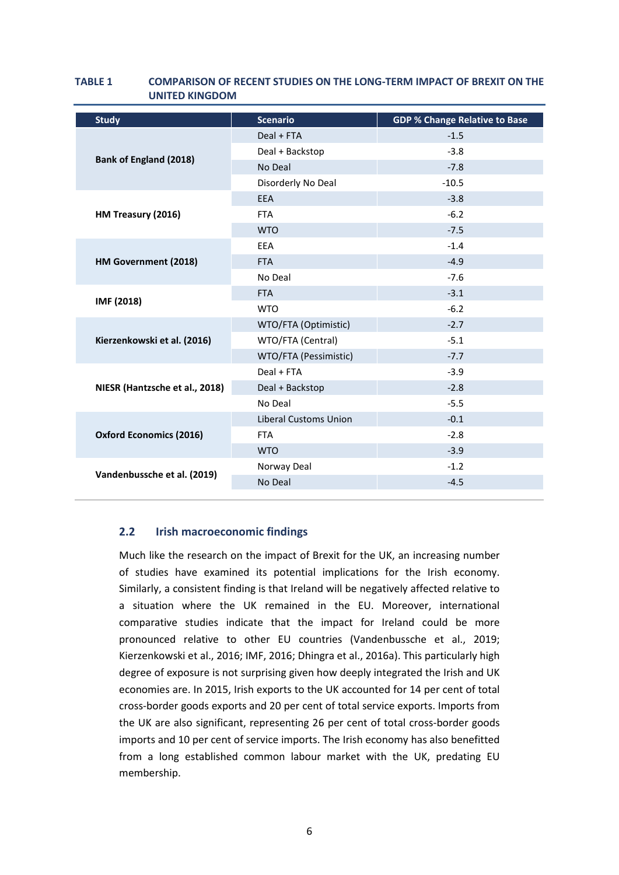| <b>Study</b>                   | <b>Scenario</b>              | <b>GDP % Change Relative to Base</b> |  |  |  |
|--------------------------------|------------------------------|--------------------------------------|--|--|--|
| <b>Bank of England (2018)</b>  | Deal + FTA                   | $-1.5$                               |  |  |  |
|                                | Deal + Backstop              | $-3.8$                               |  |  |  |
|                                | No Deal                      | $-7.8$                               |  |  |  |
|                                | Disorderly No Deal           | $-10.5$                              |  |  |  |
| HM Treasury (2016)             | <b>EEA</b>                   | $-3.8$                               |  |  |  |
|                                | <b>FTA</b>                   | $-6.2$                               |  |  |  |
|                                | <b>WTO</b>                   | $-7.5$                               |  |  |  |
|                                | EEA                          | $-1.4$                               |  |  |  |
| HM Government (2018)           | <b>FTA</b>                   | $-4.9$                               |  |  |  |
|                                | No Deal                      | $-7.6$                               |  |  |  |
|                                | <b>FTA</b>                   | $-3.1$                               |  |  |  |
| IMF (2018)                     | <b>WTO</b>                   | $-6.2$                               |  |  |  |
|                                | WTO/FTA (Optimistic)         | $-2.7$                               |  |  |  |
| Kierzenkowski et al. (2016)    | WTO/FTA (Central)            | $-5.1$                               |  |  |  |
|                                | WTO/FTA (Pessimistic)        | $-7.7$                               |  |  |  |
|                                | Deal + FTA                   | $-3.9$                               |  |  |  |
| NIESR (Hantzsche et al., 2018) | Deal + Backstop              | $-2.8$                               |  |  |  |
|                                | No Deal                      | $-5.5$                               |  |  |  |
|                                | <b>Liberal Customs Union</b> | $-0.1$                               |  |  |  |
| <b>Oxford Economics (2016)</b> | <b>FTA</b>                   | $-2.8$                               |  |  |  |
|                                | <b>WTO</b>                   | $-3.9$                               |  |  |  |
| Vandenbussche et al. (2019)    | Norway Deal                  | $-1.2$                               |  |  |  |
|                                | No Deal                      | $-4.5$                               |  |  |  |

## **TABLE 1 COMPARISON OF RECENT STUDIES ON THE LONG-TERM IMPACT OF BREXIT ON THE UNITED KINGDOM**

## **2.2 Irish macroeconomic findings**

Much like the research on the impact of Brexit for the UK, an increasing number of studies have examined its potential implications for the Irish economy. Similarly, a consistent finding is that Ireland will be negatively affected relative to a situation where the UK remained in the EU. Moreover, international comparative studies indicate that the impact for Ireland could be more pronounced relative to other EU countries (Vandenbussche et al., 2019; Kierzenkowski et al., 2016; IMF, 2016; Dhingra et al., 2016a). This particularly high degree of exposure is not surprising given how deeply integrated the Irish and UK economies are. In 2015, Irish exports to the UK accounted for 14 per cent of total cross-border goods exports and 20 per cent of total service exports. Imports from the UK are also significant, representing 26 per cent of total cross-border goods imports and 10 per cent of service imports. The Irish economy has also benefitted from a long established common labour market with the UK, predating EU membership.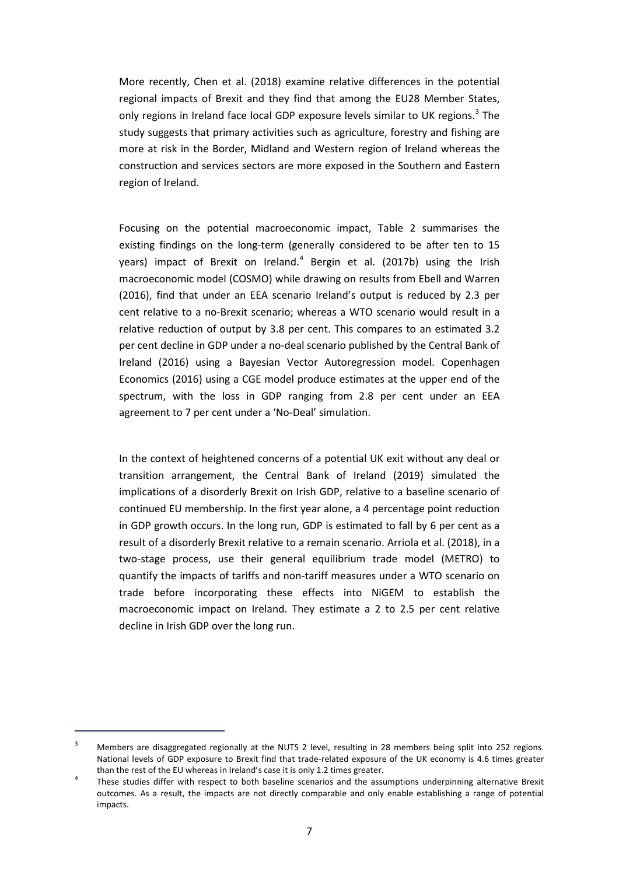More recently, Chen et al. (2018) examine relative differences in the potential regional impacts of Brexit and they find that among the EU28 Member States, only regions in Ireland face local GDP exposure levels similar to UK regions.<sup>[3](#page-8-0)</sup> The study suggests that primary activities such as agriculture, forestry and fishing are more at risk in the Border, Midland and Western region of Ireland whereas the construction and services sectors are more exposed in the Southern and Eastern region of Ireland.

Focusing on the potential macroeconomic impact, Table 2 summarises the existing findings on the long-term (generally considered to be after ten to 15 years) impact of Brexit on Ireland.<sup>[4](#page-8-1)</sup> Bergin et al. (2017b) using the Irish macroeconomic model (COSMO) while drawing on results from Ebell and Warren (2016), find that under an EEA scenario Ireland's output is reduced by 2.3 per cent relative to a no-Brexit scenario; whereas a WTO scenario would result in a relative reduction of output by 3.8 per cent. This compares to an estimated 3.2 per cent decline in GDP under a no-deal scenario published by the Central Bank of Ireland (2016) using a Bayesian Vector Autoregression model. Copenhagen Economics (2016) using a CGE model produce estimates at the upper end of the spectrum, with the loss in GDP ranging from 2.8 per cent under an EEA agreement to 7 per cent under a 'No-Deal' simulation.

In the context of heightened concerns of a potential UK exit without any deal or transition arrangement, the Central Bank of Ireland (2019) simulated the implications of a disorderly Brexit on Irish GDP, relative to a baseline scenario of continued EU membership. In the first year alone, a 4 percentage point reduction in GDP growth occurs. In the long run, GDP is estimated to fall by 6 per cent as a result of a disorderly Brexit relative to a remain scenario. Arriola et al. (2018), in a two-stage process, use their general equilibrium trade model (METRO) to quantify the impacts of tariffs and non-tariff measures under a WTO scenario on trade before incorporating these effects into NiGEM to establish the macroeconomic impact on Ireland. They estimate a 2 to 2.5 per cent relative decline in Irish GDP over the long run.

1

<span id="page-8-0"></span><sup>&</sup>lt;sup>3</sup> Members are disaggregated regionally at the NUTS 2 level, resulting in 28 members being split into 252 regions. National levels of GDP exposure to Brexit find that trade-related exposure of the UK economy is 4.6 times greater than the rest of the EU whereas in Ireland's case it is only 1.2 times greater.<br>4 These studies differ with respect to both baseline scenarios and the assumptions underpinning alternative Brexit

<span id="page-8-1"></span>outcomes. As a result, the impacts are not directly comparable and only enable establishing a range of potential impacts.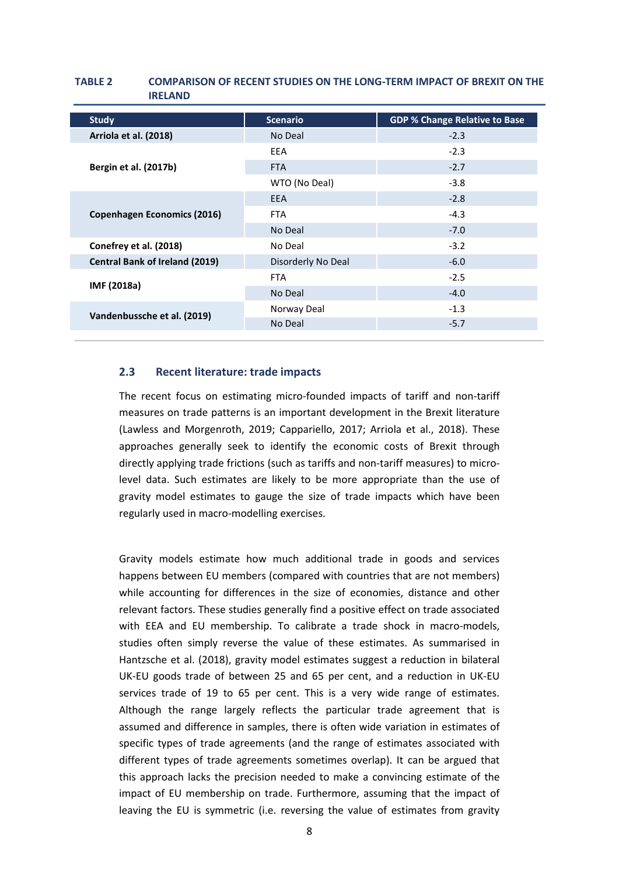## **Study Scenario GDP % Change Relative to Base Arriola et al. (2018)** 2.3 **Bergin et al. (2017b)** EEA -2.3 FTA  $-2.7$ WTO (No Deal) 3.8 **Copenhagen Economics (2016)** EEA -2.8  $FTA$   $-4.3$ No Deal -7.0 **Conefrey et al. (2018) No Deal 19 and 2018** 12.2 **Central Bank of Ireland (2019)** Disorderly No Deal -6.0 **IMF (2018a)**  $FTA$  -2.5 No Deal and the contract of the contract of the contract of the contract of the contract of the contract of the contract of the contract of the contract of the contract of the contract of the contract of the contract of th **Vandenbussche et al. (2019)** Norway Deal 1.3<br>No Deal 1.3 No Deal

## **TABLE 2 COMPARISON OF RECENT STUDIES ON THE LONG-TERM IMPACT OF BREXIT ON THE IRELAND**

## **2.3 Recent literature: trade impacts**

The recent focus on estimating micro-founded impacts of tariff and non-tariff measures on trade patterns is an important development in the Brexit literature (Lawless and Morgenroth, 2019; Cappariello, 2017; Arriola et al., 2018). These approaches generally seek to identify the economic costs of Brexit through directly applying trade frictions (such as tariffs and non-tariff measures) to microlevel data. Such estimates are likely to be more appropriate than the use of gravity model estimates to gauge the size of trade impacts which have been regularly used in macro-modelling exercises.

Gravity models estimate how much additional trade in goods and services happens between EU members (compared with countries that are not members) while accounting for differences in the size of economies, distance and other relevant factors. These studies generally find a positive effect on trade associated with EEA and EU membership. To calibrate a trade shock in macro-models, studies often simply reverse the value of these estimates. As summarised in Hantzsche et al. (2018), gravity model estimates suggest a reduction in bilateral UK-EU goods trade of between 25 and 65 per cent, and a reduction in UK-EU services trade of 19 to 65 per cent. This is a very wide range of estimates. Although the range largely reflects the particular trade agreement that is assumed and difference in samples, there is often wide variation in estimates of specific types of trade agreements (and the range of estimates associated with different types of trade agreements sometimes overlap). It can be argued that this approach lacks the precision needed to make a convincing estimate of the impact of EU membership on trade. Furthermore, assuming that the impact of leaving the EU is symmetric (i.e. reversing the value of estimates from gravity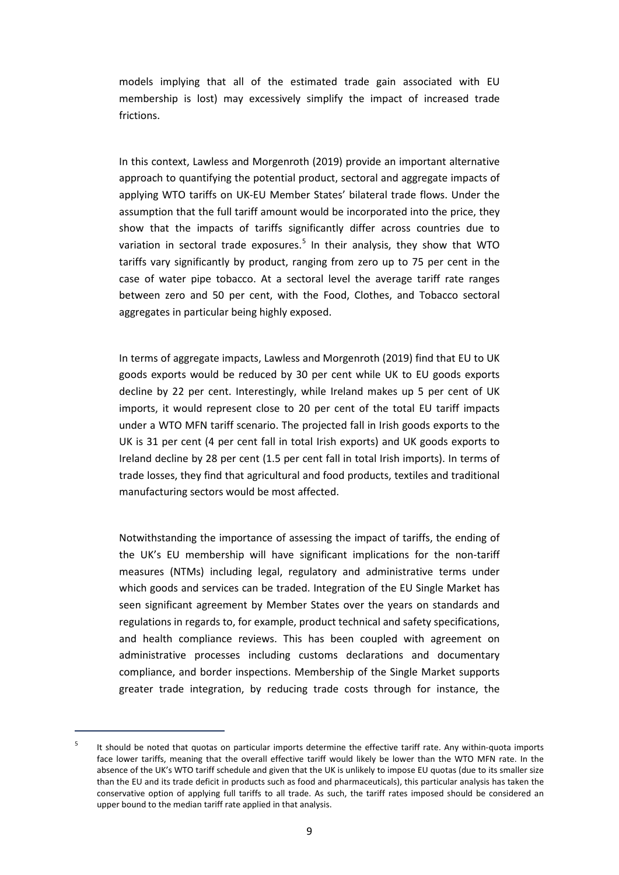models implying that all of the estimated trade gain associated with EU membership is lost) may excessively simplify the impact of increased trade frictions.

In this context, Lawless and Morgenroth (2019) provide an important alternative approach to quantifying the potential product, sectoral and aggregate impacts of applying WTO tariffs on UK-EU Member States' bilateral trade flows. Under the assumption that the full tariff amount would be incorporated into the price, they show that the impacts of tariffs significantly differ across countries due to variation in sectoral trade exposures.<sup>[5](#page-10-0)</sup> In their analysis, they show that WTO tariffs vary significantly by product, ranging from zero up to 75 per cent in the case of water pipe tobacco. At a sectoral level the average tariff rate ranges between zero and 50 per cent, with the Food, Clothes, and Tobacco sectoral aggregates in particular being highly exposed.

In terms of aggregate impacts, Lawless and Morgenroth (2019) find that EU to UK goods exports would be reduced by 30 per cent while UK to EU goods exports decline by 22 per cent. Interestingly, while Ireland makes up 5 per cent of UK imports, it would represent close to 20 per cent of the total EU tariff impacts under a WTO MFN tariff scenario. The projected fall in Irish goods exports to the UK is 31 per cent (4 per cent fall in total Irish exports) and UK goods exports to Ireland decline by 28 per cent (1.5 per cent fall in total Irish imports). In terms of trade losses, they find that agricultural and food products, textiles and traditional manufacturing sectors would be most affected.

Notwithstanding the importance of assessing the impact of tariffs, the ending of the UK's EU membership will have significant implications for the non-tariff measures (NTMs) including legal, regulatory and administrative terms under which goods and services can be traded. Integration of the EU Single Market has seen significant agreement by Member States over the years on standards and regulations in regards to, for example, product technical and safety specifications, and health compliance reviews. This has been coupled with agreement on administrative processes including customs declarations and documentary compliance, and border inspections. Membership of the Single Market supports greater trade integration, by reducing trade costs through for instance, the

1

<span id="page-10-0"></span>It should be noted that quotas on particular imports determine the effective tariff rate. Any within-quota imports face lower tariffs, meaning that the overall effective tariff would likely be lower than the WTO MFN rate. In the absence of the UK's WTO tariff schedule and given that the UK is unlikely to impose EU quotas (due to its smaller size than the EU and its trade deficit in products such as food and pharmaceuticals), this particular analysis has taken the conservative option of applying full tariffs to all trade. As such, the tariff rates imposed should be considered an upper bound to the median tariff rate applied in that analysis.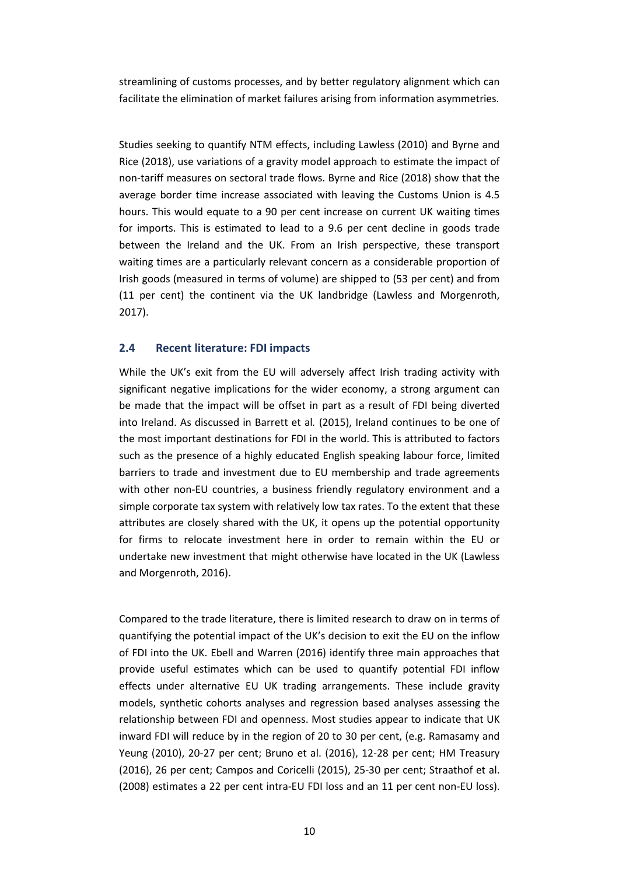streamlining of customs processes, and by better regulatory alignment which can facilitate the elimination of market failures arising from information asymmetries.

Studies seeking to quantify NTM effects, including Lawless (2010) and Byrne and Rice (2018), use variations of a gravity model approach to estimate the impact of non-tariff measures on sectoral trade flows. Byrne and Rice (2018) show that the average border time increase associated with leaving the Customs Union is 4.5 hours. This would equate to a 90 per cent increase on current UK waiting times for imports. This is estimated to lead to a 9.6 per cent decline in goods trade between the Ireland and the UK. From an Irish perspective, these transport waiting times are a particularly relevant concern as a considerable proportion of Irish goods (measured in terms of volume) are shipped to (53 per cent) and from (11 per cent) the continent via the UK landbridge (Lawless and Morgenroth, 2017).

## **2.4 Recent literature: FDI impacts**

While the UK's exit from the EU will adversely affect Irish trading activity with significant negative implications for the wider economy, a strong argument can be made that the impact will be offset in part as a result of FDI being diverted into Ireland. As discussed in Barrett et al*.* (2015), Ireland continues to be one of the most important destinations for FDI in the world. This is attributed to factors such as the presence of a highly educated English speaking labour force, limited barriers to trade and investment due to EU membership and trade agreements with other non-EU countries, a business friendly regulatory environment and a simple corporate tax system with relatively low tax rates. To the extent that these attributes are closely shared with the UK, it opens up the potential opportunity for firms to relocate investment here in order to remain within the EU or undertake new investment that might otherwise have located in the UK (Lawless and Morgenroth, 2016).

Compared to the trade literature, there is limited research to draw on in terms of quantifying the potential impact of the UK's decision to exit the EU on the inflow of FDI into the UK. Ebell and Warren (2016) identify three main approaches that provide useful estimates which can be used to quantify potential FDI inflow effects under alternative EU UK trading arrangements. These include gravity models, synthetic cohorts analyses and regression based analyses assessing the relationship between FDI and openness. Most studies appear to indicate that UK inward FDI will reduce by in the region of 20 to 30 per cent, (e.g. Ramasamy and Yeung (2010), 20-27 per cent; Bruno et al. (2016), 12-28 per cent; HM Treasury (2016), 26 per cent; Campos and Coricelli (2015), 25-30 per cent; Straathof et al. (2008) estimates a 22 per cent intra-EU FDI loss and an 11 per cent non-EU loss).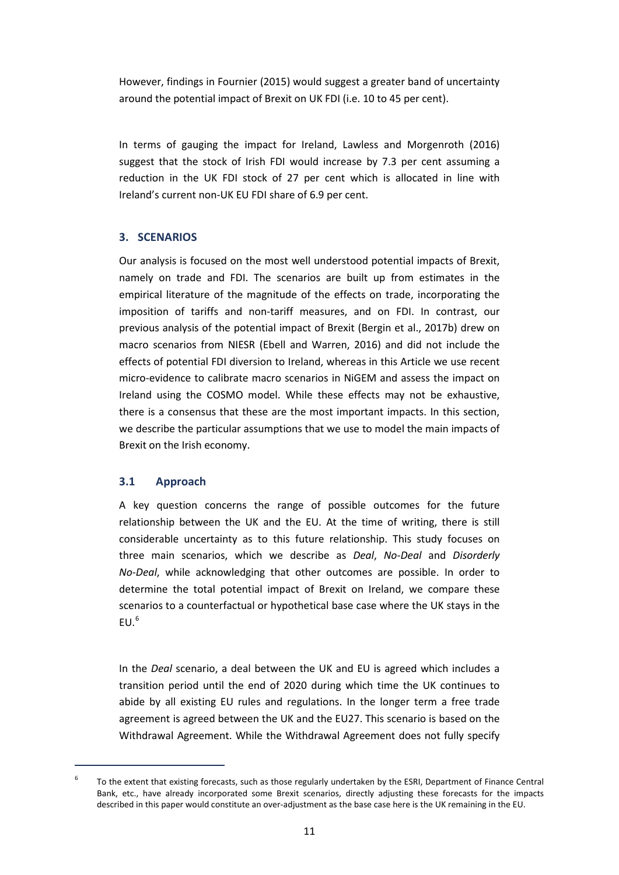However, findings in Fournier (2015) would suggest a greater band of uncertainty around the potential impact of Brexit on UK FDI (i.e. 10 to 45 per cent).

In terms of gauging the impact for Ireland, Lawless and Morgenroth (2016) suggest that the stock of Irish FDI would increase by 7.3 per cent assuming a reduction in the UK FDI stock of 27 per cent which is allocated in line with Ireland's current non-UK EU FDI share of 6.9 per cent.

## **3. SCENARIOS**

Our analysis is focused on the most well understood potential impacts of Brexit, namely on trade and FDI. The scenarios are built up from estimates in the empirical literature of the magnitude of the effects on trade, incorporating the imposition of tariffs and non-tariff measures, and on FDI. In contrast, our previous analysis of the potential impact of Brexit (Bergin et al., 2017b) drew on macro scenarios from NIESR (Ebell and Warren, 2016) and did not include the effects of potential FDI diversion to Ireland, whereas in this Article we use recent micro-evidence to calibrate macro scenarios in NiGEM and assess the impact on Ireland using the COSMO model. While these effects may not be exhaustive, there is a consensus that these are the most important impacts. In this section, we describe the particular assumptions that we use to model the main impacts of Brexit on the Irish economy.

## **3.1 Approach**

1

A key question concerns the range of possible outcomes for the future relationship between the UK and the EU. At the time of writing, there is still considerable uncertainty as to this future relationship. This study focuses on three main scenarios, which we describe as *Deal*, *No-Deal* and *Disorderly No-Deal*, while acknowledging that other outcomes are possible. In order to determine the total potential impact of Brexit on Ireland, we compare these scenarios to a counterfactual or hypothetical base case where the UK stays in the  $FII<sup>6</sup>$  $FII<sup>6</sup>$  $FII<sup>6</sup>$ 

In the *Deal* scenario, a deal between the UK and EU is agreed which includes a transition period until the end of 2020 during which time the UK continues to abide by all existing EU rules and regulations. In the longer term a free trade agreement is agreed between the UK and the EU27. This scenario is based on the Withdrawal Agreement. While the Withdrawal Agreement does not fully specify

<span id="page-12-0"></span> $6$  To the extent that existing forecasts, such as those regularly undertaken by the ESRI. Department of Finance Central Bank, etc., have already incorporated some Brexit scenarios, directly adjusting these forecasts for the impacts described in this paper would constitute an over-adjustment as the base case here is the UK remaining in the EU.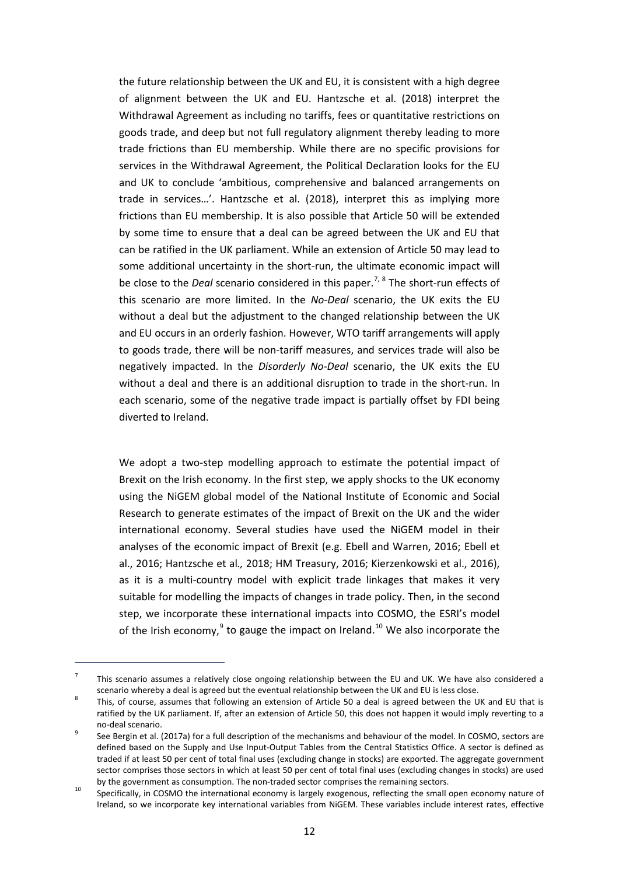the future relationship between the UK and EU, it is consistent with a high degree of alignment between the UK and EU. Hantzsche et al. (2018) interpret the Withdrawal Agreement as including no tariffs, fees or quantitative restrictions on goods trade, and deep but not full regulatory alignment thereby leading to more trade frictions than EU membership. While there are no specific provisions for services in the Withdrawal Agreement, the Political Declaration looks for the EU and UK to conclude 'ambitious, comprehensive and balanced arrangements on trade in services…'. Hantzsche et al. (2018), interpret this as implying more frictions than EU membership. It is also possible that Article 50 will be extended by some time to ensure that a deal can be agreed between the UK and EU that can be ratified in the UK parliament. While an extension of Article 50 may lead to some additional uncertainty in the short-run, the ultimate economic impact will be close to the *Deal* scenario considered in this paper.<sup>[7](#page-13-0), [8](#page-13-1)</sup> The short-run effects of this scenario are more limited. In the *No-Deal* scenario, the UK exits the EU without a deal but the adjustment to the changed relationship between the UK and EU occurs in an orderly fashion. However, WTO tariff arrangements will apply to goods trade, there will be non-tariff measures, and services trade will also be negatively impacted. In the *Disorderly No-Deal* scenario, the UK exits the EU without a deal and there is an additional disruption to trade in the short-run. In each scenario, some of the negative trade impact is partially offset by FDI being diverted to Ireland.

We adopt a two-step modelling approach to estimate the potential impact of Brexit on the Irish economy. In the first step, we apply shocks to the UK economy using the NiGEM global model of the National Institute of Economic and Social Research to generate estimates of the impact of Brexit on the UK and the wider international economy. Several studies have used the NiGEM model in their analyses of the economic impact of Brexit (e.g. Ebell and Warren, 2016; Ebell et al., 2016; Hantzsche et al*.,* 2018; HM Treasury, 2016; Kierzenkowski et al., 2016), as it is a multi-country model with explicit trade linkages that makes it very suitable for modelling the impacts of changes in trade policy. Then, in the second step, we incorporate these international impacts into COSMO, the ESRI's model of the Irish economy, $9$  to gauge the impact on Ireland.<sup>[10](#page-13-3)</sup> We also incorporate the

 $\overline{a}$ 

<span id="page-13-0"></span> $7$  This scenario assumes a relatively close ongoing relationship between the EU and UK. We have also considered a

<span id="page-13-1"></span>scenario whereby a deal is agreed but the eventual relationship between the UK and EU is less close.<br><sup>8</sup> This, of course, assumes that following an extension of Article 50 a deal is agreed between the UK and EU that is ratified by the UK parliament. If, after an extension of Article 50, this does not happen it would imply reverting to a no-deal scenario.<br>See Bergin et al. (2017a) for a full description of the mechanisms and behaviour of the model. In COSMO, sectors are

<span id="page-13-2"></span>defined based on the Supply and Use Input-Output Tables from the Central Statistics Office. A sector is defined as traded if at least 50 per cent of total final uses (excluding change in stocks) are exported. The aggregate government sector comprises those sectors in which at least 50 per cent of total final uses (excluding changes in stocks) are used

<span id="page-13-3"></span>by the government as consumption. The non-traded sector comprises the remaining sectors.<br><sup>10</sup> Specifically, in COSMO the international economy is largely exogenous, reflecting the small open economy nature of Ireland, so we incorporate key international variables from NiGEM. These variables include interest rates, effective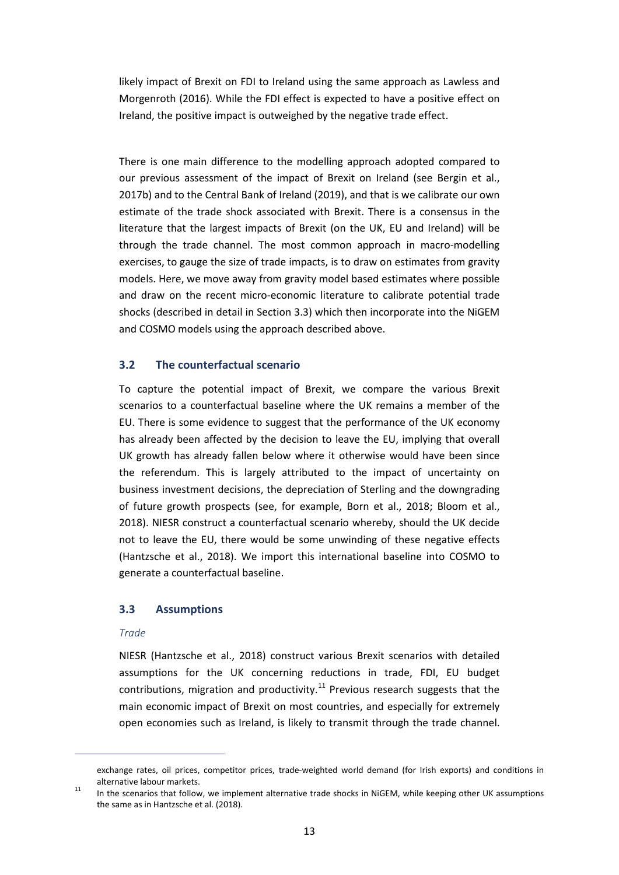likely impact of Brexit on FDI to Ireland using the same approach as Lawless and Morgenroth (2016). While the FDI effect is expected to have a positive effect on Ireland, the positive impact is outweighed by the negative trade effect.

There is one main difference to the modelling approach adopted compared to our previous assessment of the impact of Brexit on Ireland (see Bergin et al., 2017b) and to the Central Bank of Ireland (2019), and that is we calibrate our own estimate of the trade shock associated with Brexit. There is a consensus in the literature that the largest impacts of Brexit (on the UK, EU and Ireland) will be through the trade channel. The most common approach in macro-modelling exercises, to gauge the size of trade impacts, is to draw on estimates from gravity models. Here, we move away from gravity model based estimates where possible and draw on the recent micro-economic literature to calibrate potential trade shocks (described in detail in Section 3.3) which then incorporate into the NiGEM and COSMO models using the approach described above.

## **3.2 The counterfactual scenario**

To capture the potential impact of Brexit, we compare the various Brexit scenarios to a counterfactual baseline where the UK remains a member of the EU. There is some evidence to suggest that the performance of the UK economy has already been affected by the decision to leave the EU, implying that overall UK growth has already fallen below where it otherwise would have been since the referendum. This is largely attributed to the impact of uncertainty on business investment decisions, the depreciation of Sterling and the downgrading of future growth prospects (see, for example, Born et al., 2018; Bloom et al., 2018). NIESR construct a counterfactual scenario whereby, should the UK decide not to leave the EU, there would be some unwinding of these negative effects (Hantzsche et al., 2018). We import this international baseline into COSMO to generate a counterfactual baseline.

## **3.3 Assumptions**

## *Trade*

 $\overline{a}$ 

NIESR (Hantzsche et al., 2018) construct various Brexit scenarios with detailed assumptions for the UK concerning reductions in trade, FDI, EU budget contributions, migration and productivity.<sup>[11](#page-14-0)</sup> Previous research suggests that the main economic impact of Brexit on most countries, and especially for extremely open economies such as Ireland, is likely to transmit through the trade channel.

<span id="page-14-0"></span>exchange rates, oil prices, competitor prices, trade-weighted world demand (for Irish exports) and conditions in alternative labour markets.<br><sup>11</sup> In the scenarios that follow, we implement alternative trade shocks in NiGEM, while keeping other UK assumptions

the same as in Hantzsche et al. (2018).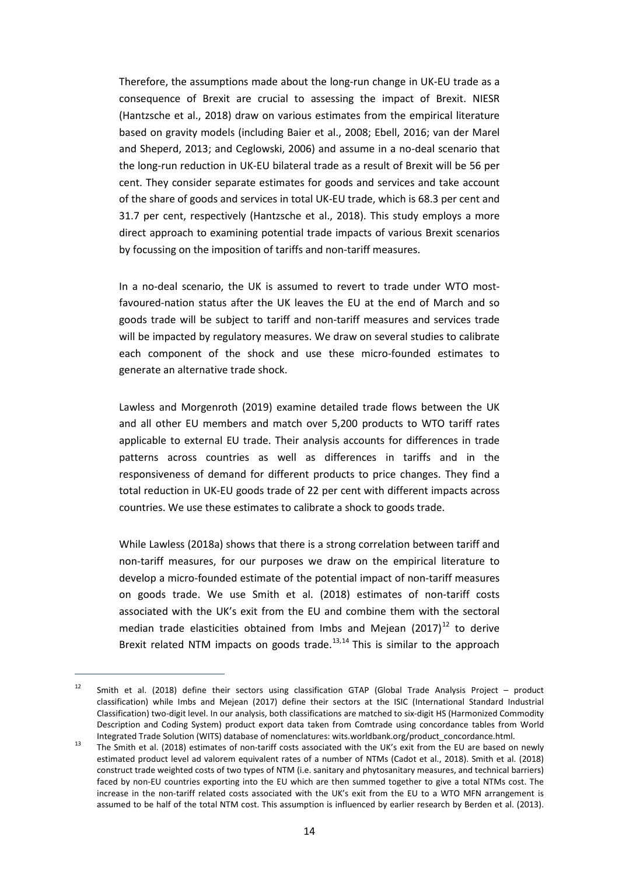Therefore, the assumptions made about the long-run change in UK-EU trade as a consequence of Brexit are crucial to assessing the impact of Brexit. NIESR (Hantzsche et al., 2018) draw on various estimates from the empirical literature based on gravity models (including Baier et al., 2008; Ebell, 2016; van der Marel and Sheperd, 2013; and Ceglowski, 2006) and assume in a no-deal scenario that the long-run reduction in UK-EU bilateral trade as a result of Brexit will be 56 per cent. They consider separate estimates for goods and services and take account of the share of goods and services in total UK-EU trade, which is 68.3 per cent and 31.7 per cent, respectively (Hantzsche et al., 2018). This study employs a more direct approach to examining potential trade impacts of various Brexit scenarios by focussing on the imposition of tariffs and non-tariff measures.

In a no-deal scenario, the UK is assumed to revert to trade under WTO mostfavoured-nation status after the UK leaves the EU at the end of March and so goods trade will be subject to tariff and non-tariff measures and services trade will be impacted by regulatory measures. We draw on several studies to calibrate each component of the shock and use these micro-founded estimates to generate an alternative trade shock.

Lawless and Morgenroth (2019) examine detailed trade flows between the UK and all other EU members and match over 5,200 products to WTO tariff rates applicable to external EU trade. Their analysis accounts for differences in trade patterns across countries as well as differences in tariffs and in the responsiveness of demand for different products to price changes. They find a total reduction in UK-EU goods trade of 22 per cent with different impacts across countries. We use these estimates to calibrate a shock to goods trade.

While Lawless (2018a) shows that there is a strong correlation between tariff and non-tariff measures, for our purposes we draw on the empirical literature to develop a micro-founded estimate of the potential impact of non-tariff measures on goods trade. We use Smith et al. (2018) estimates of non-tariff costs associated with the UK's exit from the EU and combine them with the sectoral median trade elasticities obtained from Imbs and Mejean  $(2017)^{12}$  $(2017)^{12}$  $(2017)^{12}$  to derive Brexit related NTM impacts on goods trade.<sup>[13,](#page-15-1)[14](#page-15-0)</sup> This is similar to the approach

 $\overline{a}$ 

<sup>&</sup>lt;sup>12</sup> Smith et al. (2018) define their sectors using classification GTAP (Global Trade Analysis Project – product classification) while Imbs and Mejean (2017) define their sectors at the ISIC (International Standard Industrial Classification) two-digit level. In our analysis, both classifications are matched to six-digit HS (Harmonized Commodity Description and Coding System) product export data taken from Comtrade using concordance tables from World

<span id="page-15-1"></span><span id="page-15-0"></span>Integrated Trade Solution (WITS) database of nomenclatures: wits.worldbank.org/product\_concordance.html.<br><sup>13</sup> The Smith et al. (2018) estimates of non-tariff costs associated with the UK's exit from the EU are based on new estimated product level ad valorem equivalent rates of a number of NTMs (Cadot et al., 2018). Smith et al. (2018) construct trade weighted costs of two types of NTM (i.e. sanitary and phytosanitary measures, and technical barriers) faced by non-EU countries exporting into the EU which are then summed together to give a total NTMs cost. The increase in the non-tariff related costs associated with the UK's exit from the EU to a WTO MFN arrangement is assumed to be half of the total NTM cost. This assumption is influenced by earlier research by Berden et al. (2013).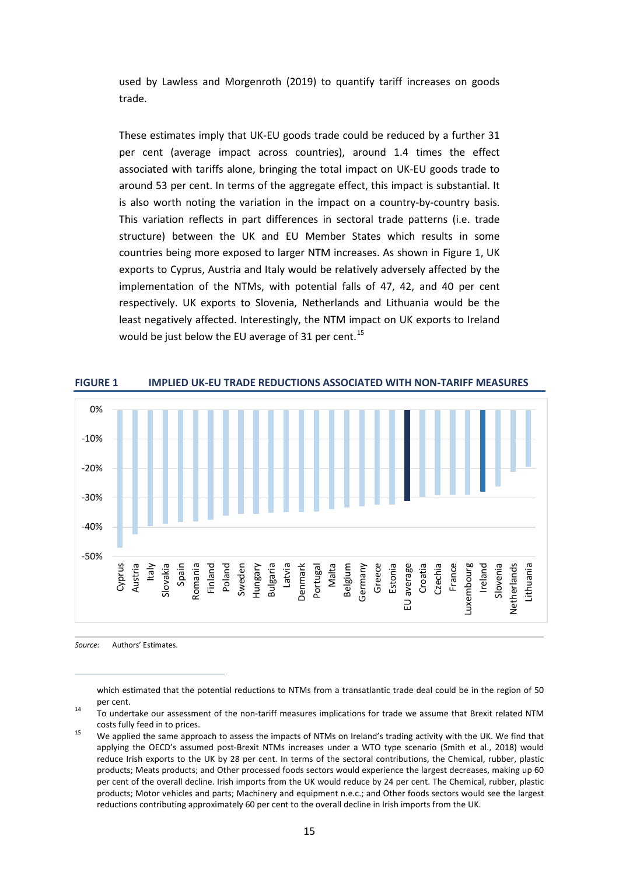used by Lawless and Morgenroth (2019) to quantify tariff increases on goods trade.

These estimates imply that UK-EU goods trade could be reduced by a further 31 per cent (average impact across countries), around 1.4 times the effect associated with tariffs alone, bringing the total impact on UK-EU goods trade to around 53 per cent. In terms of the aggregate effect, this impact is substantial. It is also worth noting the variation in the impact on a country-by-country basis. This variation reflects in part differences in sectoral trade patterns (i.e. trade structure) between the UK and EU Member States which results in some countries being more exposed to larger NTM increases. As shown in Figure 1, UK exports to Cyprus, Austria and Italy would be relatively adversely affected by the implementation of the NTMs, with potential falls of 47, 42, and 40 per cent respectively. UK exports to Slovenia, Netherlands and Lithuania would be the least negatively affected. Interestingly, the NTM impact on UK exports to Ireland would be just below the EU average of 31 per cent.<sup>[15](#page-16-0)</sup>



*Source:* Authors' Estimates.

 $\overline{a}$ 

which estimated that the potential reductions to NTMs from a transatlantic trade deal could be in the region of 50

per cent.<br>14 To undertake our assessment of the non-tariff measures implications for trade we assume that Brexit related NTM

<span id="page-16-0"></span>costs fully feed in to prices.<br><sup>15</sup> We applied the same approach to assess the impacts of NTMs on Ireland's trading activity with the UK. We find that applying the OECD's assumed post-Brexit NTMs increases under a WTO type scenario (Smith et al., 2018) would reduce Irish exports to the UK by 28 per cent. In terms of the sectoral contributions, the Chemical, rubber, plastic products; Meats products; and Other processed foods sectors would experience the largest decreases, making up 60 per cent of the overall decline. Irish imports from the UK would reduce by 24 per cent. The Chemical, rubber, plastic products; Motor vehicles and parts; Machinery and equipment n.e.c.; and Other foods sectors would see the largest reductions contributing approximately 60 per cent to the overall decline in Irish imports from the UK.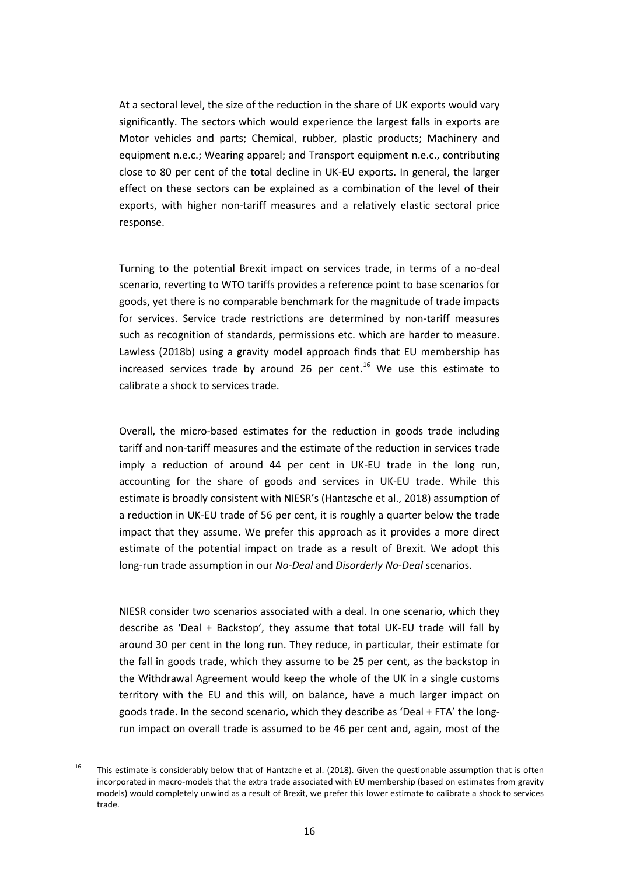At a sectoral level, the size of the reduction in the share of UK exports would vary significantly. The sectors which would experience the largest falls in exports are Motor vehicles and parts; Chemical, rubber, plastic products; Machinery and equipment n.e.c.; Wearing apparel; and Transport equipment n.e.c., contributing close to 80 per cent of the total decline in UK-EU exports. In general, the larger effect on these sectors can be explained as a combination of the level of their exports, with higher non-tariff measures and a relatively elastic sectoral price response.

Turning to the potential Brexit impact on services trade, in terms of a no-deal scenario, reverting to WTO tariffs provides a reference point to base scenarios for goods, yet there is no comparable benchmark for the magnitude of trade impacts for services. Service trade restrictions are determined by non-tariff measures such as recognition of standards, permissions etc. which are harder to measure. Lawless (2018b) using a gravity model approach finds that EU membership has increased services trade by around 26 per cent.<sup>[16](#page-17-0)</sup> We use this estimate to calibrate a shock to services trade.

Overall, the micro-based estimates for the reduction in goods trade including tariff and non-tariff measures and the estimate of the reduction in services trade imply a reduction of around 44 per cent in UK-EU trade in the long run, accounting for the share of goods and services in UK-EU trade. While this estimate is broadly consistent with NIESR's (Hantzsche et al., 2018) assumption of a reduction in UK-EU trade of 56 per cent, it is roughly a quarter below the trade impact that they assume. We prefer this approach as it provides a more direct estimate of the potential impact on trade as a result of Brexit. We adopt this long-run trade assumption in our *No-Deal* and *Disorderly No-Deal* scenarios.

NIESR consider two scenarios associated with a deal. In one scenario, which they describe as 'Deal + Backstop', they assume that total UK-EU trade will fall by around 30 per cent in the long run. They reduce, in particular, their estimate for the fall in goods trade, which they assume to be 25 per cent, as the backstop in the Withdrawal Agreement would keep the whole of the UK in a single customs territory with the EU and this will, on balance, have a much larger impact on goods trade. In the second scenario, which they describe as 'Deal + FTA' the longrun impact on overall trade is assumed to be 46 per cent and, again, most of the

 $\overline{a}$ 

<span id="page-17-0"></span><sup>&</sup>lt;sup>16</sup> This estimate is considerably below that of Hantzche et al. (2018). Given the questionable assumption that is often incorporated in macro-models that the extra trade associated with EU membership (based on estimates from gravity models) would completely unwind as a result of Brexit, we prefer this lower estimate to calibrate a shock to services trade.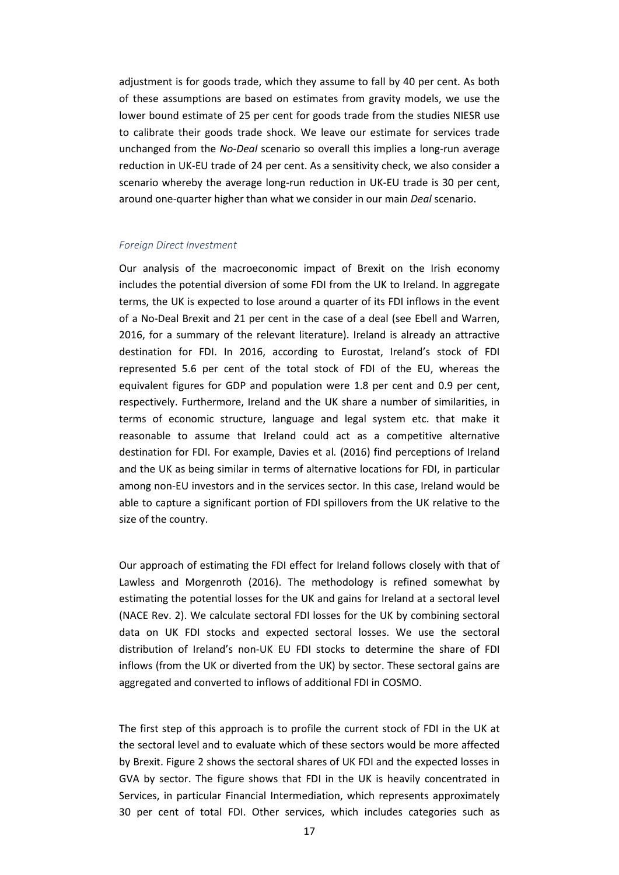adjustment is for goods trade, which they assume to fall by 40 per cent. As both of these assumptions are based on estimates from gravity models, we use the lower bound estimate of 25 per cent for goods trade from the studies NIESR use to calibrate their goods trade shock. We leave our estimate for services trade unchanged from the *No-Deal* scenario so overall this implies a long-run average reduction in UK-EU trade of 24 per cent. As a sensitivity check, we also consider a scenario whereby the average long-run reduction in UK-EU trade is 30 per cent, around one-quarter higher than what we consider in our main *Deal* scenario.

#### *Foreign Direct Investment*

Our analysis of the macroeconomic impact of Brexit on the Irish economy includes the potential diversion of some FDI from the UK to Ireland. In aggregate terms, the UK is expected to lose around a quarter of its FDI inflows in the event of a No-Deal Brexit and 21 per cent in the case of a deal (see Ebell and Warren, 2016, for a summary of the relevant literature). Ireland is already an attractive destination for FDI. In 2016, according to Eurostat, Ireland's stock of FDI represented 5.6 per cent of the total stock of FDI of the EU, whereas the equivalent figures for GDP and population were 1.8 per cent and 0.9 per cent, respectively. Furthermore, Ireland and the UK share a number of similarities, in terms of economic structure, language and legal system etc. that make it reasonable to assume that Ireland could act as a competitive alternative destination for FDI. For example, Davies et al*.* (2016) find perceptions of Ireland and the UK as being similar in terms of alternative locations for FDI, in particular among non-EU investors and in the services sector. In this case, Ireland would be able to capture a significant portion of FDI spillovers from the UK relative to the size of the country.

Our approach of estimating the FDI effect for Ireland follows closely with that of Lawless and Morgenroth (2016). The methodology is refined somewhat by estimating the potential losses for the UK and gains for Ireland at a sectoral level (NACE Rev. 2). We calculate sectoral FDI losses for the UK by combining sectoral data on UK FDI stocks and expected sectoral losses. We use the sectoral distribution of Ireland's non-UK EU FDI stocks to determine the share of FDI inflows (from the UK or diverted from the UK) by sector. These sectoral gains are aggregated and converted to inflows of additional FDI in COSMO.

The first step of this approach is to profile the current stock of FDI in the UK at the sectoral level and to evaluate which of these sectors would be more affected by Brexit. Figure 2 shows the sectoral shares of UK FDI and the expected losses in GVA by sector. The figure shows that FDI in the UK is heavily concentrated in Services, in particular Financial Intermediation, which represents approximately 30 per cent of total FDI. Other services, which includes categories such as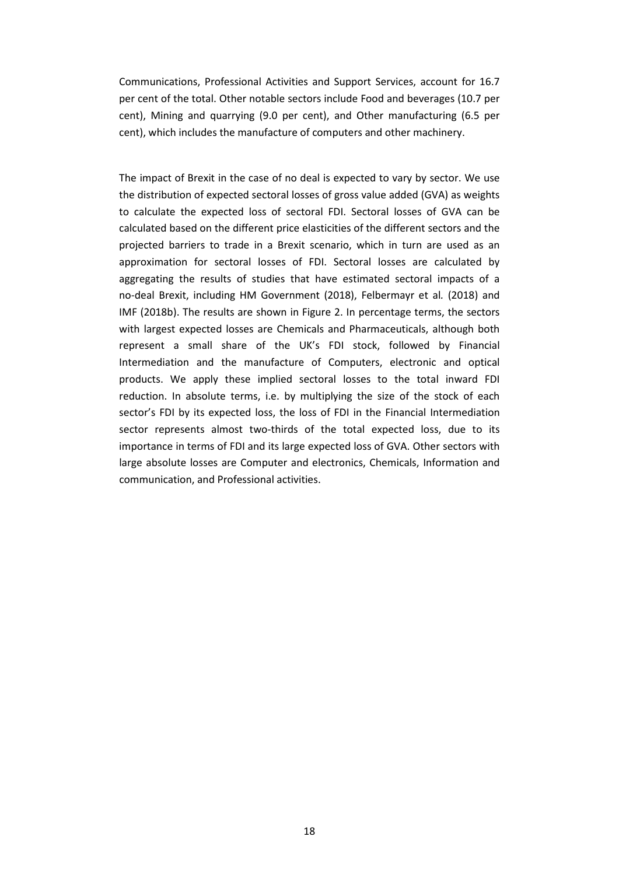Communications, Professional Activities and Support Services, account for 16.7 per cent of the total. Other notable sectors include Food and beverages (10.7 per cent), Mining and quarrying (9.0 per cent), and Other manufacturing (6.5 per cent), which includes the manufacture of computers and other machinery.

The impact of Brexit in the case of no deal is expected to vary by sector. We use the distribution of expected sectoral losses of gross value added (GVA) as weights to calculate the expected loss of sectoral FDI. Sectoral losses of GVA can be calculated based on the different price elasticities of the different sectors and the projected barriers to trade in a Brexit scenario, which in turn are used as an approximation for sectoral losses of FDI. Sectoral losses are calculated by aggregating the results of studies that have estimated sectoral impacts of a no-deal Brexit, including HM Government (2018), Felbermayr et al*.* (2018) and IMF (2018b). The results are shown in Figure 2. In percentage terms, the sectors with largest expected losses are Chemicals and Pharmaceuticals, although both represent a small share of the UK's FDI stock, followed by Financial Intermediation and the manufacture of Computers, electronic and optical products. We apply these implied sectoral losses to the total inward FDI reduction. In absolute terms, i.e. by multiplying the size of the stock of each sector's FDI by its expected loss, the loss of FDI in the Financial Intermediation sector represents almost two-thirds of the total expected loss, due to its importance in terms of FDI and its large expected loss of GVA. Other sectors with large absolute losses are Computer and electronics, Chemicals, Information and communication, and Professional activities.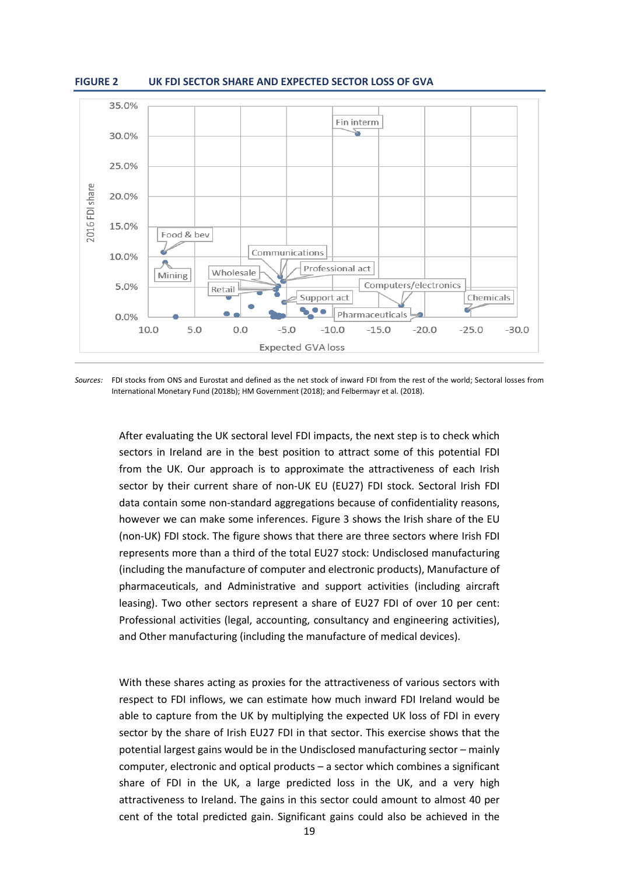



*Sources:* FDI stocks from ONS and Eurostat and defined as the net stock of inward FDI from the rest of the world; Sectoral losses from International Monetary Fund (2018b); HM Government (2018); and Felbermayr et al. (2018).

After evaluating the UK sectoral level FDI impacts, the next step is to check which sectors in Ireland are in the best position to attract some of this potential FDI from the UK. Our approach is to approximate the attractiveness of each Irish sector by their current share of non-UK EU (EU27) FDI stock. Sectoral Irish FDI data contain some non-standard aggregations because of confidentiality reasons, however we can make some inferences. Figure 3 shows the Irish share of the EU (non-UK) FDI stock. The figure shows that there are three sectors where Irish FDI represents more than a third of the total EU27 stock: Undisclosed manufacturing (including the manufacture of computer and electronic products), Manufacture of pharmaceuticals, and Administrative and support activities (including aircraft leasing). Two other sectors represent a share of EU27 FDI of over 10 per cent: Professional activities (legal, accounting, consultancy and engineering activities), and Other manufacturing (including the manufacture of medical devices).

With these shares acting as proxies for the attractiveness of various sectors with respect to FDI inflows, we can estimate how much inward FDI Ireland would be able to capture from the UK by multiplying the expected UK loss of FDI in every sector by the share of Irish EU27 FDI in that sector. This exercise shows that the potential largest gains would be in the Undisclosed manufacturing sector – mainly computer, electronic and optical products – a sector which combines a significant share of FDI in the UK, a large predicted loss in the UK, and a very high attractiveness to Ireland. The gains in this sector could amount to almost 40 per cent of the total predicted gain. Significant gains could also be achieved in the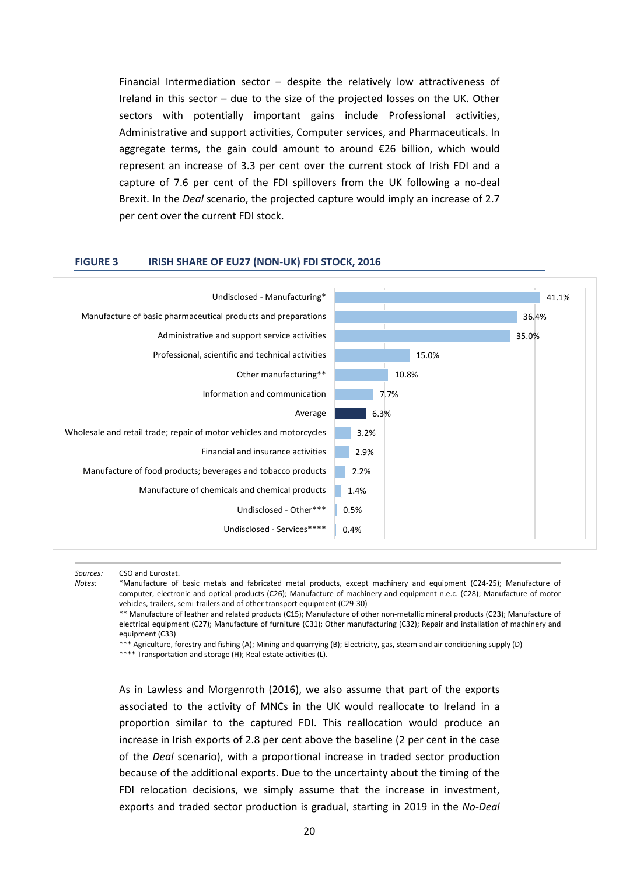Financial Intermediation sector  $-$  despite the relatively low attractiveness of Ireland in this sector – due to the size of the projected losses on the UK. Other sectors with potentially important gains include Professional activities, Administrative and support activities, Computer services, and Pharmaceuticals. In aggregate terms, the gain could amount to around €26 billion, which would represent an increase of 3.3 per cent over the current stock of Irish FDI and a capture of 7.6 per cent of the FDI spillovers from the UK following a no-deal Brexit. In the *Deal* scenario, the projected capture would imply an increase of 2.7 per cent over the current FDI stock.

#### **FIGURE 3 IRISH SHARE OF EU27 (NON-UK) FDI STOCK, 2016**



*Sources:* CSO and Eurostat.

*Notes:* \*Manufacture of basic metals and fabricated metal products, except machinery and equipment (C24-25); Manufacture of computer, electronic and optical products (C26); Manufacture of machinery and equipment n.e.c. (C28); Manufacture of motor vehicles, trailers, semi-trailers and of other transport equipment (C29-30)

\*\* Manufacture of leather and related products (C15); Manufacture of other non-metallic mineral products (C23); Manufacture of electrical equipment (C27); Manufacture of furniture (C31); Other manufacturing (C32); Repair and installation of machinery and equipment (C33)

\*\*\* Agriculture, forestry and fishing (A); Mining and quarrying (B); Electricity, gas, steam and air conditioning supply (D)

\*\*\*\* Transportation and storage (H); Real estate activities (L).

As in Lawless and Morgenroth (2016), we also assume that part of the exports associated to the activity of MNCs in the UK would reallocate to Ireland in a proportion similar to the captured FDI. This reallocation would produce an increase in Irish exports of 2.8 per cent above the baseline (2 per cent in the case of the *Deal* scenario), with a proportional increase in traded sector production because of the additional exports. Due to the uncertainty about the timing of the FDI relocation decisions, we simply assume that the increase in investment, exports and traded sector production is gradual, starting in 2019 in the *No-Deal*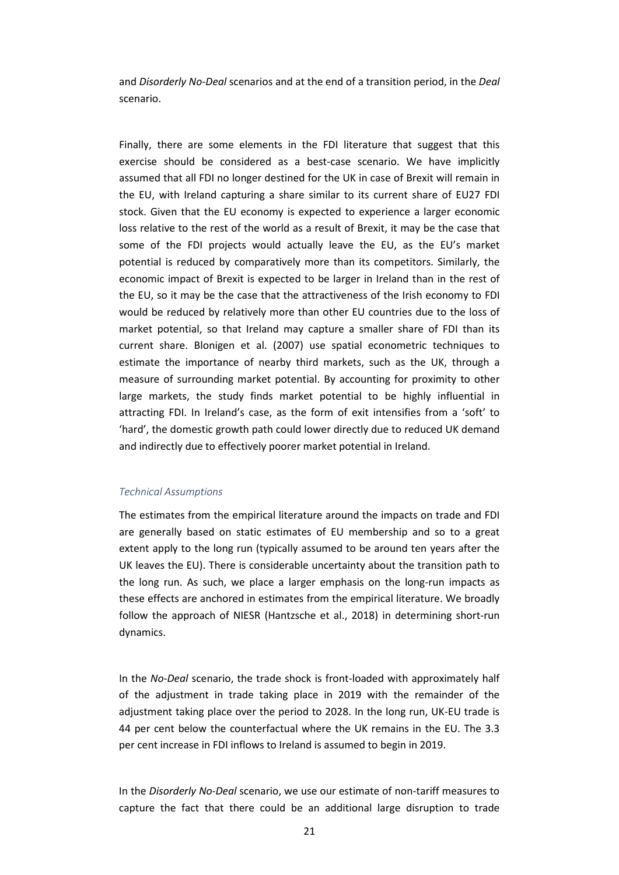and *Disorderly No-Deal* scenarios and at the end of a transition period, in the *Deal* scenario.

Finally, there are some elements in the FDI literature that suggest that this exercise should be considered as a best-case scenario. We have implicitly assumed that all FDI no longer destined for the UK in case of Brexit will remain in the EU, with Ireland capturing a share similar to its current share of EU27 FDI stock. Given that the EU economy is expected to experience a larger economic loss relative to the rest of the world as a result of Brexit, it may be the case that some of the FDI projects would actually leave the EU, as the EU's market potential is reduced by comparatively more than its competitors. Similarly, the economic impact of Brexit is expected to be larger in Ireland than in the rest of the EU, so it may be the case that the attractiveness of the Irish economy to FDI would be reduced by relatively more than other EU countries due to the loss of market potential, so that Ireland may capture a smaller share of FDI than its current share. Blonigen et al. (2007) use spatial econometric techniques to estimate the importance of nearby third markets, such as the UK, through a measure of surrounding market potential. By accounting for proximity to other large markets, the study finds market potential to be highly influential in attracting FDI. In Ireland's case, as the form of exit intensifies from a 'soft' to 'hard', the domestic growth path could lower directly due to reduced UK demand and indirectly due to effectively poorer market potential in Ireland.

#### *Technical Assumptions*

The estimates from the empirical literature around the impacts on trade and FDI are generally based on static estimates of EU membership and so to a great extent apply to the long run (typically assumed to be around ten years after the UK leaves the EU). There is considerable uncertainty about the transition path to the long run. As such, we place a larger emphasis on the long-run impacts as these effects are anchored in estimates from the empirical literature. We broadly follow the approach of NIESR (Hantzsche et al., 2018) in determining short-run dynamics.

In the *No-Deal* scenario, the trade shock is front-loaded with approximately half of the adjustment in trade taking place in 2019 with the remainder of the adjustment taking place over the period to 2028. In the long run, UK-EU trade is 44 per cent below the counterfactual where the UK remains in the EU. The 3.3 per cent increase in FDI inflows to Ireland is assumed to begin in 2019.

In the *Disorderly No-Deal* scenario, we use our estimate of non-tariff measures to capture the fact that there could be an additional large disruption to trade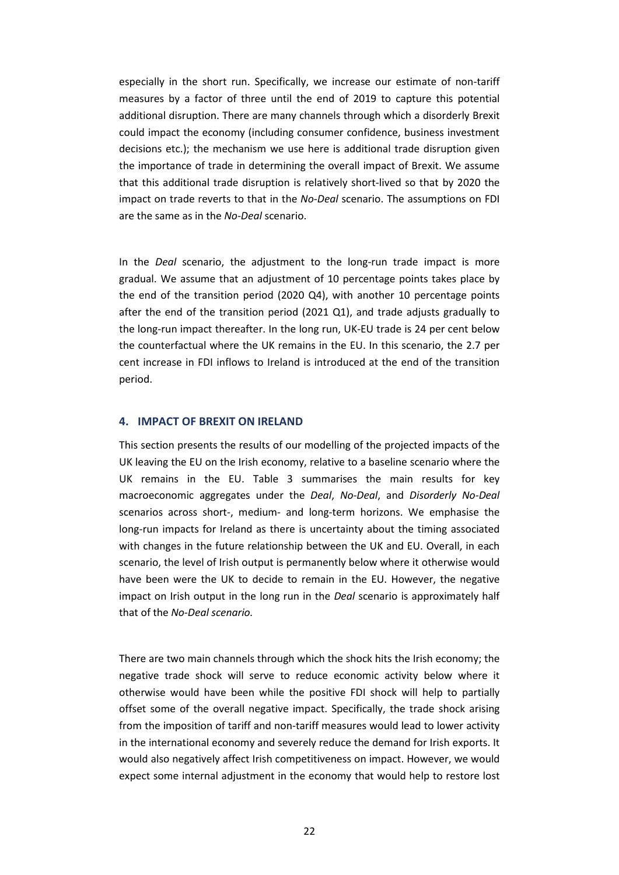especially in the short run. Specifically, we increase our estimate of non-tariff measures by a factor of three until the end of 2019 to capture this potential additional disruption. There are many channels through which a disorderly Brexit could impact the economy (including consumer confidence, business investment decisions etc.); the mechanism we use here is additional trade disruption given the importance of trade in determining the overall impact of Brexit. We assume that this additional trade disruption is relatively short-lived so that by 2020 the impact on trade reverts to that in the *No-Deal* scenario. The assumptions on FDI are the same as in the *No-Deal* scenario.

In the *Deal* scenario, the adjustment to the long-run trade impact is more gradual. We assume that an adjustment of 10 percentage points takes place by the end of the transition period (2020 Q4), with another 10 percentage points after the end of the transition period (2021 Q1), and trade adjusts gradually to the long-run impact thereafter. In the long run, UK-EU trade is 24 per cent below the counterfactual where the UK remains in the EU. In this scenario, the 2.7 per cent increase in FDI inflows to Ireland is introduced at the end of the transition period.

## **4. IMPACT OF BREXIT ON IRELAND**

This section presents the results of our modelling of the projected impacts of the UK leaving the EU on the Irish economy, relative to a baseline scenario where the UK remains in the EU. Table 3 summarises the main results for key macroeconomic aggregates under the *Deal*, *No-Deal*, and *Disorderly No-Deal* scenarios across short-, medium- and long-term horizons. We emphasise the long-run impacts for Ireland as there is uncertainty about the timing associated with changes in the future relationship between the UK and EU. Overall, in each scenario, the level of Irish output is permanently below where it otherwise would have been were the UK to decide to remain in the EU. However, the negative impact on Irish output in the long run in the *Deal* scenario is approximately half that of the *No-Deal scenario.*

There are two main channels through which the shock hits the Irish economy; the negative trade shock will serve to reduce economic activity below where it otherwise would have been while the positive FDI shock will help to partially offset some of the overall negative impact. Specifically, the trade shock arising from the imposition of tariff and non-tariff measures would lead to lower activity in the international economy and severely reduce the demand for Irish exports. It would also negatively affect Irish competitiveness on impact. However, we would expect some internal adjustment in the economy that would help to restore lost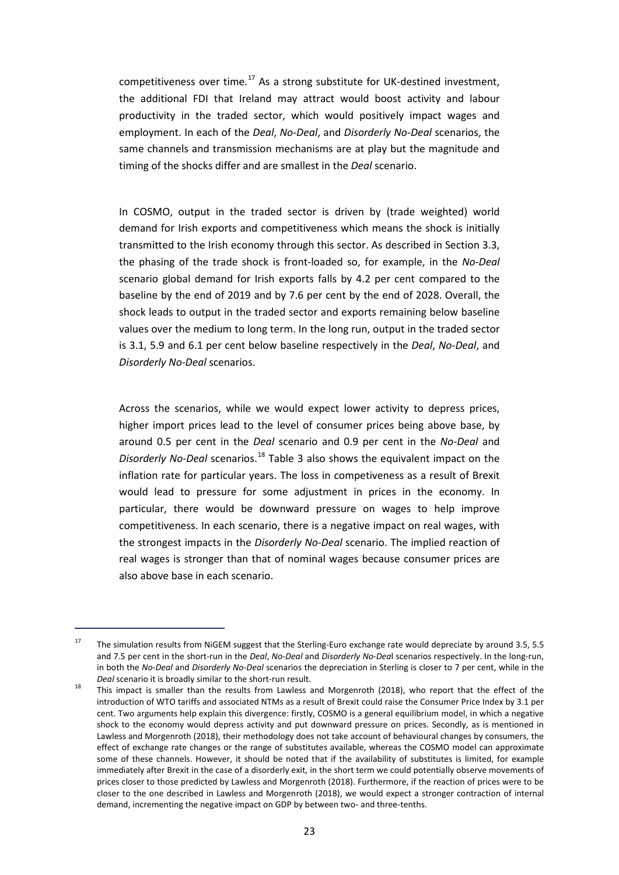competitiveness over time.<sup>[17](#page-24-0)</sup> As a strong substitute for UK-destined investment, the additional FDI that Ireland may attract would boost activity and labour productivity in the traded sector, which would positively impact wages and employment. In each of the *Deal*, *No-Deal*, and *Disorderly No-Deal* scenarios, the same channels and transmission mechanisms are at play but the magnitude and timing of the shocks differ and are smallest in the *Deal* scenario.

In COSMO, output in the traded sector is driven by (trade weighted) world demand for Irish exports and competitiveness which means the shock is initially transmitted to the Irish economy through this sector. As described in Section 3.3, the phasing of the trade shock is front-loaded so, for example, in the *No-Deal*  scenario global demand for Irish exports falls by 4.2 per cent compared to the baseline by the end of 2019 and by 7.6 per cent by the end of 2028. Overall, the shock leads to output in the traded sector and exports remaining below baseline values over the medium to long term. In the long run, output in the traded sector is 3.1, 5.9 and 6.1 per cent below baseline respectively in the *Deal*, *No-Deal*, and *Disorderly No-Deal* scenarios.

Across the scenarios, while we would expect lower activity to depress prices, higher import prices lead to the level of consumer prices being above base, by around 0.5 per cent in the *Deal* scenario and 0.9 per cent in the *No-Deal* and *Disorderly No-Deal* scenarios.[18](#page-24-1) Table 3 also shows the equivalent impact on the inflation rate for particular years. The loss in competiveness as a result of Brexit would lead to pressure for some adjustment in prices in the economy. In particular, there would be downward pressure on wages to help improve competitiveness. In each scenario, there is a negative impact on real wages, with the strongest impacts in the *Disorderly No-Deal* scenario. The implied reaction of real wages is stronger than that of nominal wages because consumer prices are also above base in each scenario.

1

<span id="page-24-0"></span><sup>&</sup>lt;sup>17</sup> The simulation results from NiGEM suggest that the Sterling-Euro exchange rate would depreciate by around 3.5, 5.5 and 7.5 per cent in the short-run in the *Deal*, *No-Deal* and *Disorderly No-Dea*l scenarios respectively. In the long-run, in both the *No-Deal* and *Disorderly No-Deal* scenarios the depreciation in Sterling is closer to 7 per cent, while in the

<span id="page-24-1"></span>*Deal* scenario it is broadly similar to the short-run result.<br><sup>18</sup> This impact is smaller than the results from Lawless and Morgenroth (2018), who report that the effect of the introduction of WTO tariffs and associated NTMs as a result of Brexit could raise the Consumer Price Index by 3.1 per cent. Two arguments help explain this divergence: firstly, COSMO is a general equilibrium model, in which a negative shock to the economy would depress activity and put downward pressure on prices. Secondly, as is mentioned in Lawless and Morgenroth (2018), their methodology does not take account of behavioural changes by consumers, the effect of exchange rate changes or the range of substitutes available, whereas the COSMO model can approximate some of these channels. However, it should be noted that if the availability of substitutes is limited, for example immediately after Brexit in the case of a disorderly exit, in the short term we could potentially observe movements of prices closer to those predicted by Lawless and Morgenroth (2018). Furthermore, if the reaction of prices were to be closer to the one described in Lawless and Morgenroth (2018), we would expect a stronger contraction of internal demand, incrementing the negative impact on GDP by between two- and three-tenths.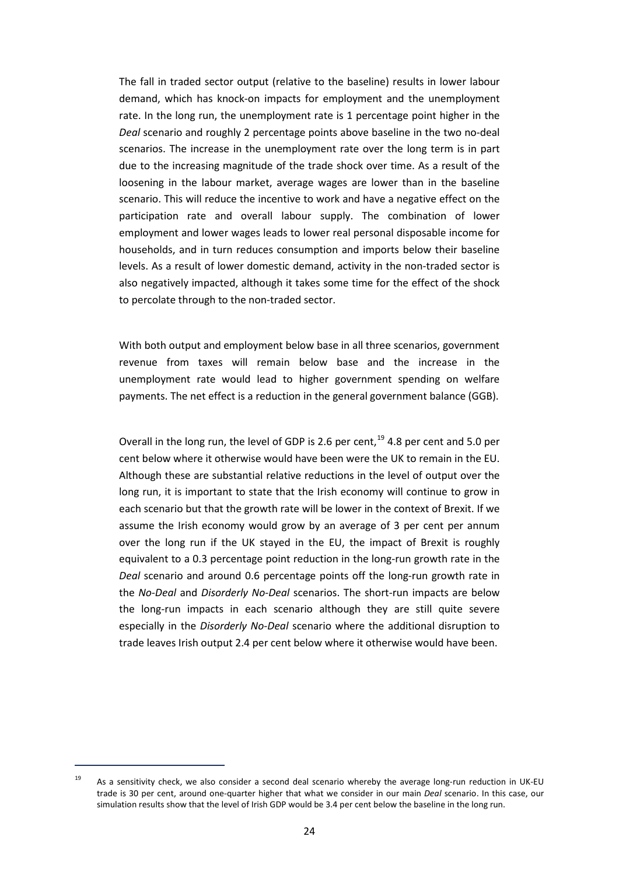The fall in traded sector output (relative to the baseline) results in lower labour demand, which has knock-on impacts for employment and the unemployment rate. In the long run, the unemployment rate is 1 percentage point higher in the *Deal* scenario and roughly 2 percentage points above baseline in the two no-deal scenarios. The increase in the unemployment rate over the long term is in part due to the increasing magnitude of the trade shock over time. As a result of the loosening in the labour market, average wages are lower than in the baseline scenario. This will reduce the incentive to work and have a negative effect on the participation rate and overall labour supply. The combination of lower employment and lower wages leads to lower real personal disposable income for households, and in turn reduces consumption and imports below their baseline levels. As a result of lower domestic demand, activity in the non-traded sector is also negatively impacted, although it takes some time for the effect of the shock to percolate through to the non-traded sector.

With both output and employment below base in all three scenarios, government revenue from taxes will remain below base and the increase in the unemployment rate would lead to higher government spending on welfare payments. The net effect is a reduction in the general government balance (GGB).

Overall in the long run, the level of GDP is 2.6 per cent,<sup>[19](#page-25-0)</sup> 4.8 per cent and 5.0 per cent below where it otherwise would have been were the UK to remain in the EU. Although these are substantial relative reductions in the level of output over the long run, it is important to state that the Irish economy will continue to grow in each scenario but that the growth rate will be lower in the context of Brexit. If we assume the Irish economy would grow by an average of 3 per cent per annum over the long run if the UK stayed in the EU, the impact of Brexit is roughly equivalent to a 0.3 percentage point reduction in the long-run growth rate in the *Deal* scenario and around 0.6 percentage points off the long-run growth rate in the *No-Deal* and *Disorderly No-Deal* scenarios. The short-run impacts are below the long-run impacts in each scenario although they are still quite severe especially in the *Disorderly No-Deal* scenario where the additional disruption to trade leaves Irish output 2.4 per cent below where it otherwise would have been.

1

<span id="page-25-0"></span><sup>&</sup>lt;sup>19</sup> As a sensitivity check, we also consider a second deal scenario whereby the average long-run reduction in UK-EU trade is 30 per cent, around one-quarter higher that what we consider in our main *Deal* scenario. In this case, our simulation results show that the level of Irish GDP would be 3.4 per cent below the baseline in the long run.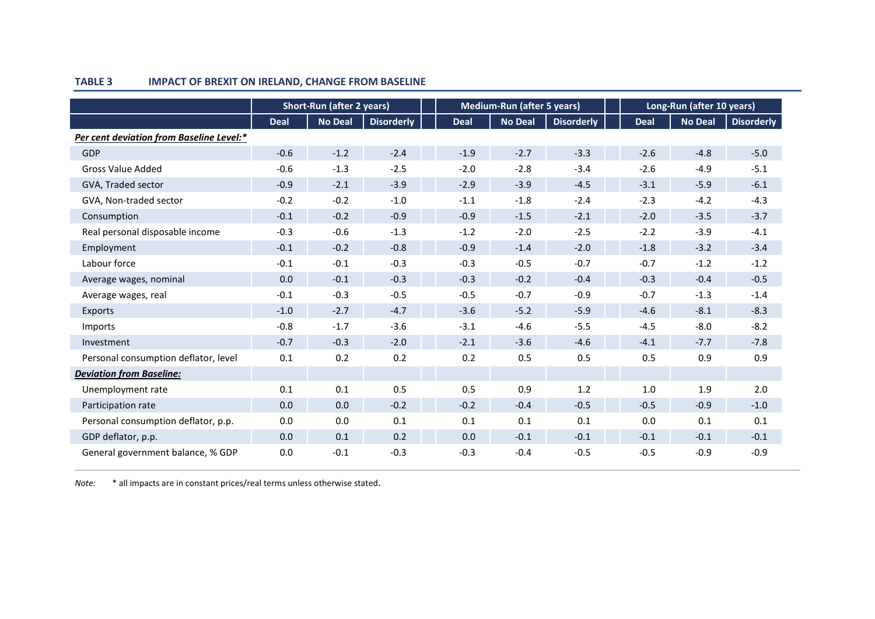|                                          | <b>Short-Run (after 2 years)</b> |                |                   |             | <b>Medium-Run (after 5 years)</b> |                   |             | Long-Run (after 10 years) |                   |  |
|------------------------------------------|----------------------------------|----------------|-------------------|-------------|-----------------------------------|-------------------|-------------|---------------------------|-------------------|--|
|                                          | <b>Deal</b>                      | <b>No Deal</b> | <b>Disorderly</b> | <b>Deal</b> | <b>No Deal</b>                    | <b>Disorderly</b> | <b>Deal</b> | No Deal                   | <b>Disorderly</b> |  |
| Per cent deviation from Baseline Level:* |                                  |                |                   |             |                                   |                   |             |                           |                   |  |
| GDP                                      | $-0.6$                           | $-1.2$         | $-2.4$            | $-1.9$      | $-2.7$                            | $-3.3$            | $-2.6$      | $-4.8$                    | $-5.0$            |  |
| <b>Gross Value Added</b>                 | $-0.6$                           | $-1.3$         | $-2.5$            | $-2.0$      | $-2.8$                            | $-3.4$            | $-2.6$      | $-4.9$                    | $-5.1$            |  |
| GVA, Traded sector                       | $-0.9$                           | $-2.1$         | $-3.9$            | $-2.9$      | $-3.9$                            | $-4.5$            | $-3.1$      | $-5.9$                    | $-6.1$            |  |
| GVA, Non-traded sector                   | $-0.2$                           | $-0.2$         | $-1.0$            | $-1.1$      | $-1.8$                            | $-2.4$            | $-2.3$      | $-4.2$                    | $-4.3$            |  |
| Consumption                              | $-0.1$                           | $-0.2$         | $-0.9$            | $-0.9$      | $-1.5$                            | $-2.1$            | $-2.0$      | $-3.5$                    | $-3.7$            |  |
| Real personal disposable income          | $-0.3$                           | $-0.6$         | $-1.3$            | $-1.2$      | $-2.0$                            | $-2.5$            | $-2.2$      | $-3.9$                    | $-4.1$            |  |
| Employment                               | $-0.1$                           | $-0.2$         | $-0.8$            | $-0.9$      | $-1.4$                            | $-2.0$            | $-1.8$      | $-3.2$                    | $-3.4$            |  |
| Labour force                             | $-0.1$                           | $-0.1$         | $-0.3$            | $-0.3$      | $-0.5$                            | $-0.7$            | $-0.7$      | $-1.2$                    | $-1.2$            |  |
| Average wages, nominal                   | 0.0                              | $-0.1$         | $-0.3$            | $-0.3$      | $-0.2$                            | $-0.4$            | $-0.3$      | $-0.4$                    | $-0.5$            |  |
| Average wages, real                      | $-0.1$                           | $-0.3$         | $-0.5$            | $-0.5$      | $-0.7$                            | $-0.9$            | $-0.7$      | $-1.3$                    | $-1.4$            |  |
| Exports                                  | $-1.0$                           | $-2.7$         | $-4.7$            | $-3.6$      | $-5.2$                            | $-5.9$            | $-4.6$      | $-8.1$                    | $-8.3$            |  |
| Imports                                  | $-0.8$                           | $-1.7$         | $-3.6$            | $-3.1$      | $-4.6$                            | $-5.5$            | $-4.5$      | $-8.0$                    | $-8.2$            |  |
| Investment                               | $-0.7$                           | $-0.3$         | $-2.0$            | $-2.1$      | $-3.6$                            | $-4.6$            | $-4.1$      | $-7.7$                    | $-7.8$            |  |
| Personal consumption deflator, level     | 0.1                              | 0.2            | 0.2               | 0.2         | 0.5                               | 0.5               | 0.5         | 0.9                       | 0.9               |  |
| <b>Deviation from Baseline:</b>          |                                  |                |                   |             |                                   |                   |             |                           |                   |  |
| Unemployment rate                        | 0.1                              | 0.1            | 0.5               | 0.5         | 0.9                               | 1.2               | 1.0         | 1.9                       | 2.0               |  |
| Participation rate                       | 0.0                              | 0.0            | $-0.2$            | $-0.2$      | $-0.4$                            | $-0.5$            | $-0.5$      | $-0.9$                    | $-1.0$            |  |
| Personal consumption deflator, p.p.      | 0.0                              | 0.0            | 0.1               | 0.1         | 0.1                               | 0.1               | 0.0         | 0.1                       | 0.1               |  |
| GDP deflator, p.p.                       | 0.0                              | 0.1            | 0.2               | 0.0         | $-0.1$                            | $-0.1$            | $-0.1$      | $-0.1$                    | $-0.1$            |  |
| General government balance, % GDP        | 0.0                              | $-0.1$         | $-0.3$            | $-0.3$      | $-0.4$                            | $-0.5$            | $-0.5$      | $-0.9$                    | $-0.9$            |  |

## **TABLE 3 IMPACT OF BREXIT ON IRELAND, CHANGE FROM BASELINE**

*Note:* \* all impacts are in constant prices/real terms unless otherwise stated.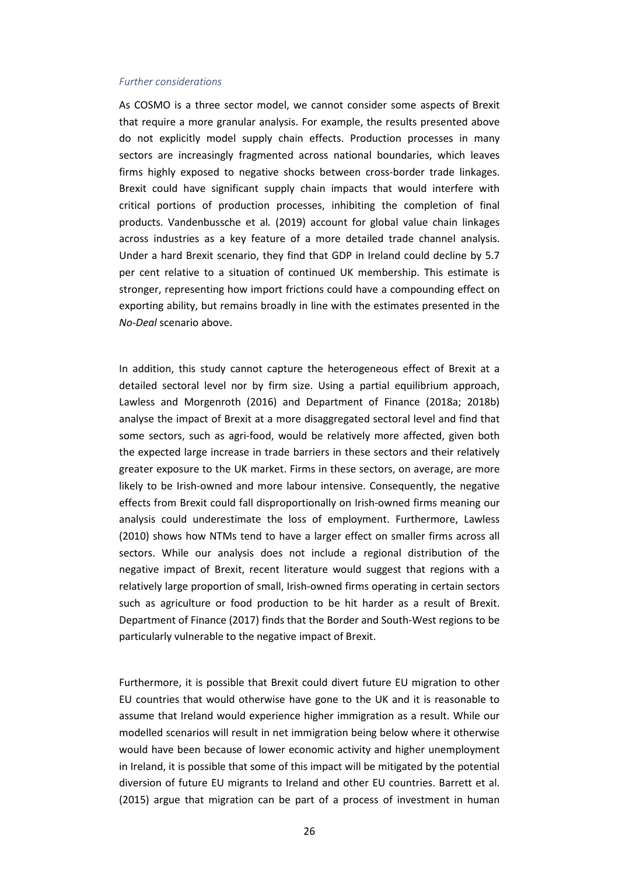#### *Further considerations*

As COSMO is a three sector model, we cannot consider some aspects of Brexit that require a more granular analysis. For example, the results presented above do not explicitly model supply chain effects. Production processes in many sectors are increasingly fragmented across national boundaries, which leaves firms highly exposed to negative shocks between cross-border trade linkages. Brexit could have significant supply chain impacts that would interfere with critical portions of production processes, inhibiting the completion of final products. Vandenbussche et al*.* (2019) account for global value chain linkages across industries as a key feature of a more detailed trade channel analysis. Under a hard Brexit scenario, they find that GDP in Ireland could decline by 5.7 per cent relative to a situation of continued UK membership. This estimate is stronger, representing how import frictions could have a compounding effect on exporting ability, but remains broadly in line with the estimates presented in the *No-Deal* scenario above.

In addition, this study cannot capture the heterogeneous effect of Brexit at a detailed sectoral level nor by firm size. Using a partial equilibrium approach, Lawless and Morgenroth (2016) and Department of Finance (2018a; 2018b) analyse the impact of Brexit at a more disaggregated sectoral level and find that some sectors, such as agri-food, would be relatively more affected, given both the expected large increase in trade barriers in these sectors and their relatively greater exposure to the UK market. Firms in these sectors, on average, are more likely to be Irish-owned and more labour intensive. Consequently, the negative effects from Brexit could fall disproportionally on Irish-owned firms meaning our analysis could underestimate the loss of employment. Furthermore, Lawless (2010) shows how NTMs tend to have a larger effect on smaller firms across all sectors. While our analysis does not include a regional distribution of the negative impact of Brexit, recent literature would suggest that regions with a relatively large proportion of small, Irish-owned firms operating in certain sectors such as agriculture or food production to be hit harder as a result of Brexit. Department of Finance (2017) finds that the Border and South-West regions to be particularly vulnerable to the negative impact of Brexit.

Furthermore, it is possible that Brexit could divert future EU migration to other EU countries that would otherwise have gone to the UK and it is reasonable to assume that Ireland would experience higher immigration as a result. While our modelled scenarios will result in net immigration being below where it otherwise would have been because of lower economic activity and higher unemployment in Ireland, it is possible that some of this impact will be mitigated by the potential diversion of future EU migrants to Ireland and other EU countries. Barrett et al. (2015) argue that migration can be part of a process of investment in human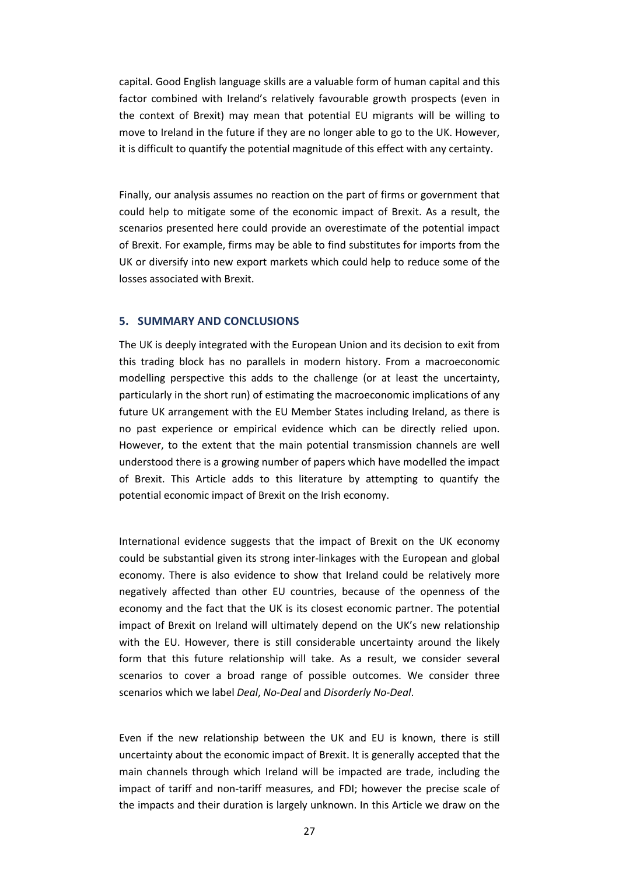capital. Good English language skills are a valuable form of human capital and this factor combined with Ireland's relatively favourable growth prospects (even in the context of Brexit) may mean that potential EU migrants will be willing to move to Ireland in the future if they are no longer able to go to the UK. However, it is difficult to quantify the potential magnitude of this effect with any certainty.

Finally, our analysis assumes no reaction on the part of firms or government that could help to mitigate some of the economic impact of Brexit. As a result, the scenarios presented here could provide an overestimate of the potential impact of Brexit. For example, firms may be able to find substitutes for imports from the UK or diversify into new export markets which could help to reduce some of the losses associated with Brexit.

## **5. SUMMARY AND CONCLUSIONS**

The UK is deeply integrated with the European Union and its decision to exit from this trading block has no parallels in modern history. From a macroeconomic modelling perspective this adds to the challenge (or at least the uncertainty, particularly in the short run) of estimating the macroeconomic implications of any future UK arrangement with the EU Member States including Ireland, as there is no past experience or empirical evidence which can be directly relied upon. However, to the extent that the main potential transmission channels are well understood there is a growing number of papers which have modelled the impact of Brexit. This Article adds to this literature by attempting to quantify the potential economic impact of Brexit on the Irish economy.

International evidence suggests that the impact of Brexit on the UK economy could be substantial given its strong inter-linkages with the European and global economy. There is also evidence to show that Ireland could be relatively more negatively affected than other EU countries, because of the openness of the economy and the fact that the UK is its closest economic partner. The potential impact of Brexit on Ireland will ultimately depend on the UK's new relationship with the EU. However, there is still considerable uncertainty around the likely form that this future relationship will take. As a result, we consider several scenarios to cover a broad range of possible outcomes. We consider three scenarios which we label *Deal*, *No-Deal* and *Disorderly No-Deal*.

Even if the new relationship between the UK and EU is known, there is still uncertainty about the economic impact of Brexit. It is generally accepted that the main channels through which Ireland will be impacted are trade, including the impact of tariff and non-tariff measures, and FDI; however the precise scale of the impacts and their duration is largely unknown. In this Article we draw on the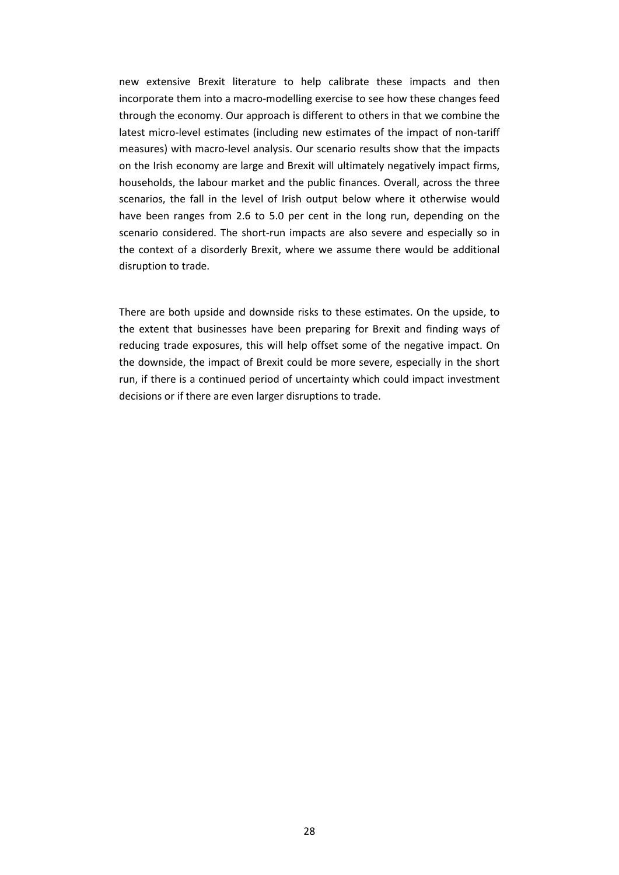new extensive Brexit literature to help calibrate these impacts and then incorporate them into a macro-modelling exercise to see how these changes feed through the economy. Our approach is different to others in that we combine the latest micro-level estimates (including new estimates of the impact of non-tariff measures) with macro-level analysis. Our scenario results show that the impacts on the Irish economy are large and Brexit will ultimately negatively impact firms, households, the labour market and the public finances. Overall, across the three scenarios, the fall in the level of Irish output below where it otherwise would have been ranges from 2.6 to 5.0 per cent in the long run, depending on the scenario considered. The short-run impacts are also severe and especially so in the context of a disorderly Brexit, where we assume there would be additional disruption to trade.

There are both upside and downside risks to these estimates. On the upside, to the extent that businesses have been preparing for Brexit and finding ways of reducing trade exposures, this will help offset some of the negative impact. On the downside, the impact of Brexit could be more severe, especially in the short run, if there is a continued period of uncertainty which could impact investment decisions or if there are even larger disruptions to trade.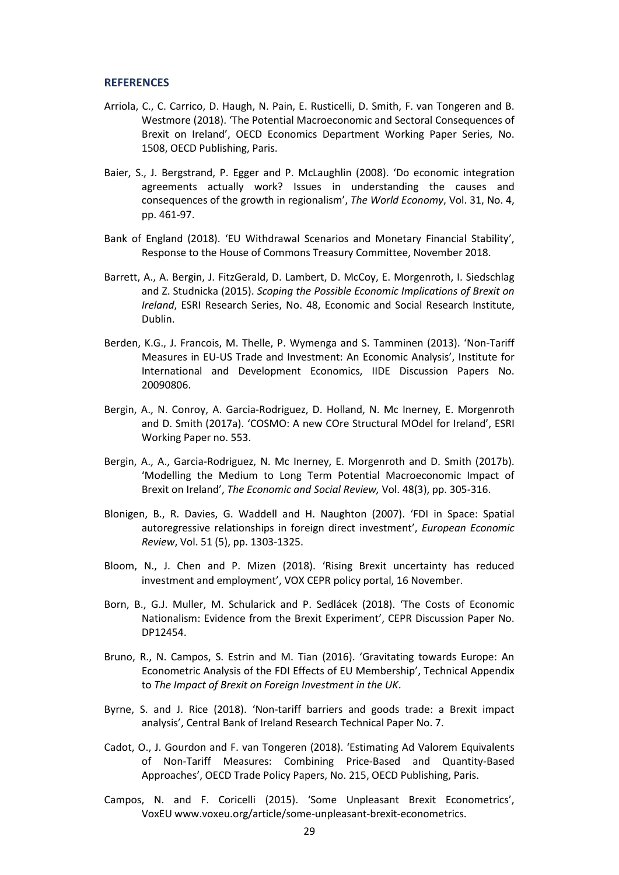#### **REFERENCES**

- Arriola, C., C. Carrico, D. Haugh, N. Pain, E. Rusticelli, D. Smith, F. van Tongeren and B. Westmore (2018). 'The Potential Macroeconomic and Sectoral Consequences of Brexit on Ireland', OECD Economics Department Working Paper Series, No. 1508, OECD Publishing, Paris.
- Baier, S., J. Bergstrand, P. Egger and P. McLaughlin (2008). 'Do economic integration agreements actually work? Issues in understanding the causes and consequences of the growth in regionalism', *The World Economy*, Vol. 31, No. 4, pp. 461-97.
- Bank of England (2018). 'EU Withdrawal Scenarios and Monetary Financial Stability', Response to the House of Commons Treasury Committee, November 2018.
- Barrett, A., A. Bergin, J. FitzGerald, D. Lambert, D. McCoy, E. Morgenroth, I. Siedschlag and Z. Studnicka (2015). *Scoping the Possible Economic Implications of Brexit on Ireland*, ESRI Research Series, No. 48, Economic and Social Research Institute, Dublin.
- Berden, K.G., J. Francois, M. Thelle, P. Wymenga and S. Tamminen (2013). 'Non-Tariff Measures in EU-US Trade and Investment: An Economic Analysis', Institute for International and Development Economics, IIDE Discussion Papers No. 20090806.
- Bergin, A., N. Conroy, A. Garcia-Rodriguez, D. Holland, N. Mc Inerney, E. Morgenroth and D. Smith (2017a). 'COSMO: A new COre Structural MOdel for Ireland', ESRI Working Paper no. 553.
- Bergin, A., A., Garcia-Rodriguez, N. Mc Inerney, E. Morgenroth and D. Smith (2017b). 'Modelling the Medium to Long Term Potential Macroeconomic Impact of Brexit on Ireland', *The Economic and Social Review,* Vol. 48(3), pp. 305-316.
- Blonigen, B., R. Davies, G. Waddell and H. Naughton (2007). 'FDI in Space: Spatial autoregressive relationships in foreign direct investment', *European Economic Review*, Vol. 51 (5), pp. 1303-1325.
- Bloom, N., J. Chen and P. Mizen (2018). 'Rising Brexit uncertainty has reduced investment and employment', VOX CEPR policy portal, 16 November.
- Born, B., G.J. Muller, M. Schularick and P. Sedlácek (2018). 'The Costs of Economic Nationalism: Evidence from the Brexit Experiment', CEPR Discussion Paper No. DP12454.
- Bruno, R., N. Campos, S. Estrin and M. Tian (2016). 'Gravitating towards Europe: An Econometric Analysis of the FDI Effects of EU Membership', Technical Appendix to *The Impact of Brexit on Foreign Investment in the UK*.
- Byrne, S. and J. Rice (2018). 'Non-tariff barriers and goods trade: a Brexit impact analysis', Central Bank of Ireland Research Technical Paper No. 7.
- Cadot, O., J. Gourdon and F. van Tongeren (2018). 'Estimating Ad Valorem Equivalents of Non-Tariff Measures: Combining Price-Based and Quantity-Based Approaches', OECD Trade Policy Papers, No. 215, OECD Publishing, Paris.
- Campos, N. and F. Coricelli (2015). 'Some Unpleasant Brexit Econometrics', VoxEU [www.voxeu.org/article/some-unpleasant-brexit-econometrics.](http://www.voxeu.org/article/some-unpleasant-brexit-econometrics)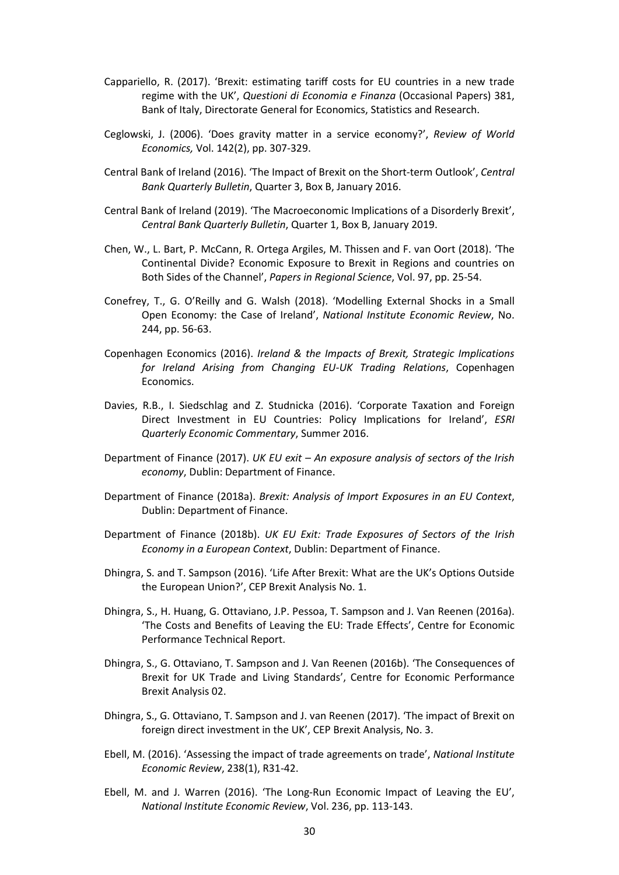- Cappariello, R. (2017). 'Brexit: estimating tariff costs for EU countries in a new trade regime with the UK', *Questioni di Economia e Finanza* (Occasional Papers) 381, Bank of Italy, Directorate General for Economics, Statistics and Research.
- Ceglowski, J. (2006). 'Does gravity matter in a service economy?', *Review of World Economics,* Vol. 142(2), pp. 307-329.
- Central Bank of Ireland (2016). 'The Impact of Brexit on the Short-term Outlook', *Central Bank Quarterly Bulletin*, Quarter 3, Box B, January 2016.
- Central Bank of Ireland (2019). 'The Macroeconomic Implications of a Disorderly Brexit', *Central Bank Quarterly Bulletin*, Quarter 1, Box B, January 2019.
- Chen, W., L. Bart, P. McCann, R. Ortega Argiles, M. Thissen and F. van Oort (2018). 'The Continental Divide? Economic Exposure to Brexit in Regions and countries on Both Sides of the Channel', *Papers in Regional Science*, Vol. 97, pp. 25-54.
- Conefrey, T., G. O'Reilly and G. Walsh (2018). 'Modelling External Shocks in a Small Open Economy: the Case of Ireland', *National Institute Economic Review*, No. 244, pp. 56-63.
- Copenhagen Economics (2016). *Ireland & the Impacts of Brexit, Strategic Implications for Ireland Arising from Changing EU-UK Trading Relations*, Copenhagen Economics.
- Davies, R.B., I. Siedschlag and Z. Studnicka (2016). 'Corporate Taxation and Foreign Direct Investment in EU Countries: Policy Implications for Ireland', *ESRI Quarterly Economic Commentary*, Summer 2016.
- Department of Finance (2017). *UK EU exit – An exposure analysis of sectors of the Irish economy*, Dublin: Department of Finance.
- Department of Finance (2018a). *Brexit: Analysis of Import Exposures in an EU Context*, Dublin: Department of Finance.
- Department of Finance (2018b). *UK EU Exit: Trade Exposures of Sectors of the Irish Economy in a European Context*, Dublin: Department of Finance.
- Dhingra, S. and T. Sampson (2016). 'Life After Brexit: What are the UK's Options Outside the European Union?', CEP Brexit Analysis No. 1.
- Dhingra, S., H. Huang, G. Ottaviano, J.P. Pessoa, T. Sampson and J. Van Reenen (2016a). 'The Costs and Benefits of Leaving the EU: Trade Effects', Centre for Economic Performance Technical Report.
- Dhingra, S., G. Ottaviano, T. Sampson and J. Van Reenen (2016b). ['The Consequences of](http://cep.lse.ac.uk/brexit/)  [Brexit for UK Trade and Living Standards'](http://cep.lse.ac.uk/brexit/), Centre for Economic Performance Brexit Analysis 02.
- Dhingra, S., G. Ottaviano, T. Sampson and J. van Reenen (2017). 'The impact of Brexit on foreign direct investment in the UK', CEP Brexit Analysis, No. 3.
- Ebell, M. (2016). 'Assessing the impact of trade agreements on trade', *National Institute Economic Review*, 238(1), R31-42.
- Ebell, M. and J. Warren (2016). 'The Long-Run Economic Impact of Leaving the EU', *National Institute Economic Review*, Vol. 236, pp. 113-143.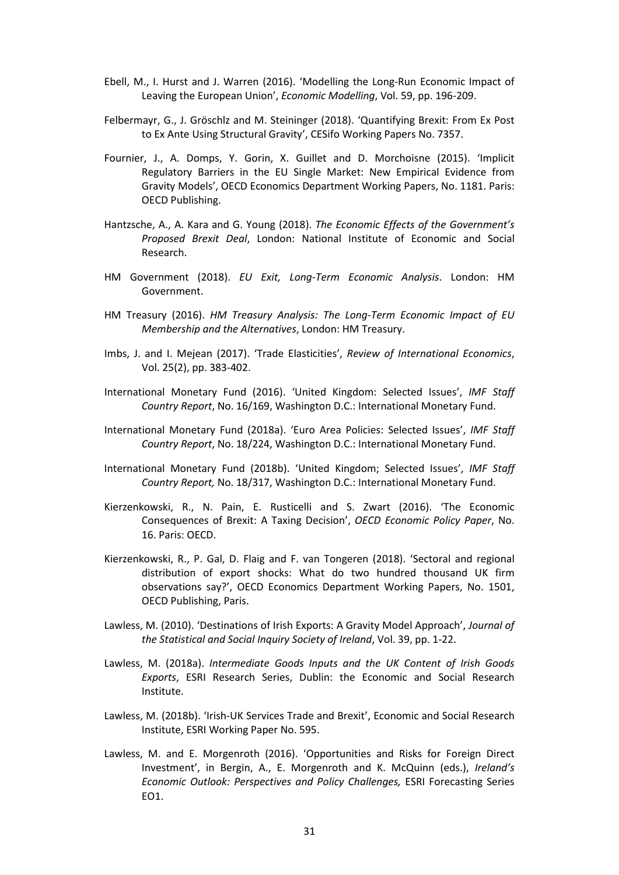- Ebell, M., I. Hurst and J. Warren (2016). 'Modelling the Long-Run Economic Impact of Leaving the European Union', *Economic Modelling*, Vol. 59, pp. 196-209.
- Felbermayr, G., J. Gröschlz and M. Steininger (2018). 'Quantifying Brexit: From Ex Post to Ex Ante Using Structural Gravity', CESifo Working Papers No. 7357.
- Fournier, J., A. Domps, Y. Gorin, X. Guillet and D. Morchoisne (2015). 'Implicit Regulatory Barriers in the EU Single Market: New Empirical Evidence from Gravity Models', OECD Economics Department Working Papers, No. 1181. Paris: OECD Publishing.
- Hantzsche, A., A. Kara and G. Young (2018). *The Economic Effects of the Government's Proposed Brexit Deal*, London: National Institute of Economic and Social Research.
- HM Government (2018). *EU Exit, Long-Term Economic Analysis*. London: HM Government.
- HM Treasury (2016). *HM Treasury Analysis: The Long-Term Economic Impact of EU Membership and the Alternatives*, London: HM Treasury.
- Imbs, J. and I. Mejean (2017). 'Trade Elasticities', *Review of International Economics*, Vol. 25(2), pp. 383-402.
- International Monetary Fund (2016). 'United Kingdom: Selected Issues', *IMF Staff Country Report*, No. 16/169, Washington D.C.: International Monetary Fund.
- International Monetary Fund (2018a). 'Euro Area Policies: Selected Issues', *IMF Staff Country Report*, No. 18/224, Washington D.C.: International Monetary Fund.
- International Monetary Fund (2018b). 'United Kingdom; Selected Issues', *IMF Staff Country Report,* No. 18/317, Washington D.C.: International Monetary Fund.
- Kierzenkowski, R., N. Pain, E. Rusticelli and S. Zwart (2016). 'The Economic Consequences of Brexit: A Taxing Decision', *OECD Economic Policy Paper*, No. 16. Paris: OECD.
- Kierzenkowski, R., P. Gal, D. Flaig and F. van Tongeren (2018). 'Sectoral and regional distribution of export shocks: What do two hundred thousand UK firm observations say?', OECD Economics Department Working Papers, No. 1501, OECD Publishing, Paris.
- Lawless, M. (2010). 'Destinations of Irish Exports: A Gravity Model Approach', *Journal of the Statistical and Social Inquiry Society of Ireland*, Vol. 39, pp. 1-22.
- Lawless, M. (2018a). *Intermediate Goods Inputs and the UK Content of Irish Goods Exports*, ESRI Research Series, Dublin: the Economic and Social Research Institute.
- Lawless, M. (2018b). 'Irish-UK Services Trade and Brexit', Economic and Social Research Institute, ESRI Working Paper No. 595.
- Lawless, M. and E. Morgenroth (2016). 'Opportunities and Risks for Foreign Direct Investment', in Bergin, A., E. Morgenroth and K. McQuinn (eds.), *Ireland's Economic Outlook: Perspectives and Policy Challenges,* ESRI Forecasting Series EO1.